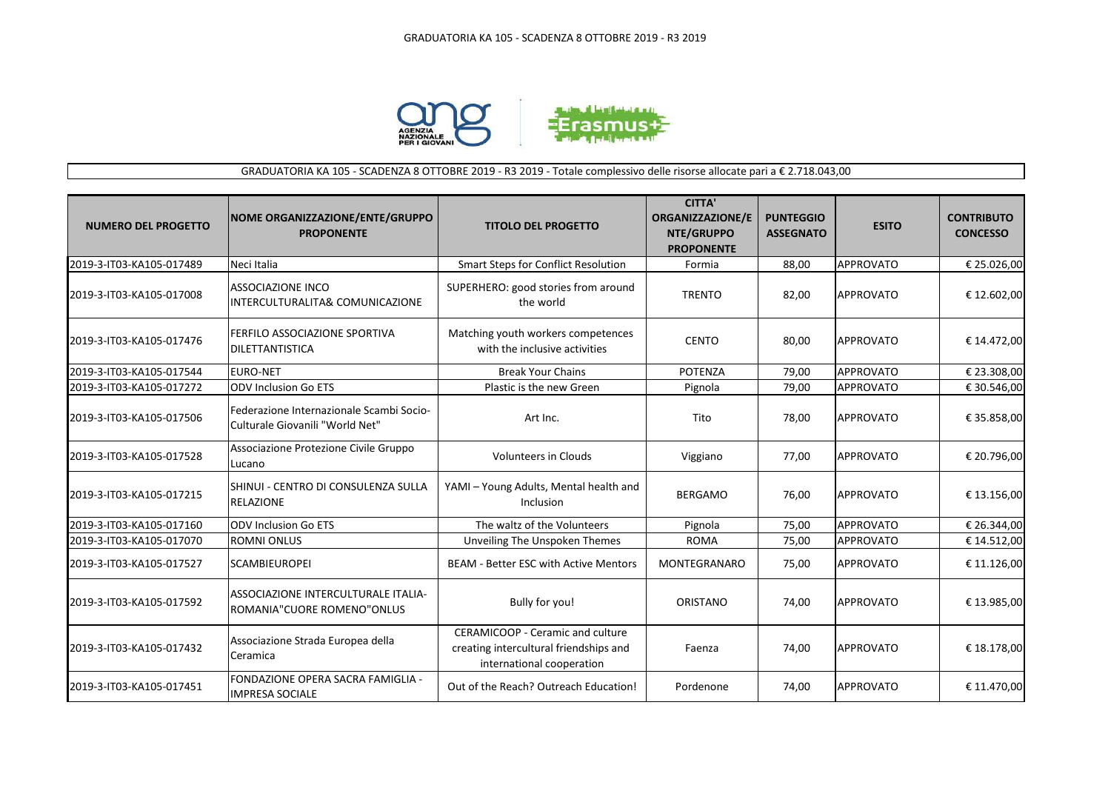

## GRADUATORIA KA 105 - SCADENZA 8 OTTOBRE 2019 - R3 2019 - Totale complessivo delle risorse allocate pari a € 2.718.043,00

| <b>NUMERO DEL PROGETTO</b> | NOME ORGANIZZAZIONE/ENTE/GRUPPO<br><b>PROPONENTE</b>                        | <b>TITOLO DEL PROGETTO</b>                                                                              | <b>CITTA'</b><br><b>ORGANIZZAZIONE/E</b><br>NTE/GRUPPO<br><b>PROPONENTE</b> | <b>PUNTEGGIO</b><br><b>ASSEGNATO</b> | <b>ESITO</b>     | <b>CONTRIBUTO</b><br><b>CONCESSO</b> |
|----------------------------|-----------------------------------------------------------------------------|---------------------------------------------------------------------------------------------------------|-----------------------------------------------------------------------------|--------------------------------------|------------------|--------------------------------------|
| 2019-3-IT03-KA105-017489   | Neci Italia                                                                 | <b>Smart Steps for Conflict Resolution</b>                                                              | Formia                                                                      | 88,00                                | <b>APPROVATO</b> | € 25.026,00                          |
| 2019-3-IT03-KA105-017008   | <b>ASSOCIAZIONE INCO</b><br>INTERCULTURALITA& COMUNICAZIONE                 | SUPERHERO: good stories from around<br>the world                                                        | <b>TRENTO</b>                                                               | 82,00                                | APPROVATO        | € 12.602,00                          |
| 2019-3-IT03-KA105-017476   | FERFILO ASSOCIAZIONE SPORTIVA<br><b>DILETTANTISTICA</b>                     | Matching youth workers competences<br>with the inclusive activities                                     | <b>CENTO</b>                                                                | 80,00                                | <b>APPROVATO</b> | € 14.472,00                          |
| 2019-3-IT03-KA105-017544   | <b>EURO-NET</b>                                                             | <b>Break Your Chains</b>                                                                                | <b>POTENZA</b>                                                              | 79.00                                | <b>APPROVATO</b> | € 23.308,00                          |
| 2019-3-IT03-KA105-017272   | <b>ODV Inclusion Go ETS</b>                                                 | Plastic is the new Green                                                                                | Pignola                                                                     | 79,00                                | <b>APPROVATO</b> | € 30.546,00                          |
| 2019-3-IT03-KA105-017506   | Federazione Internazionale Scambi Socio-<br>Culturale Giovanili "World Net" | Art Inc.                                                                                                | Tito                                                                        | 78,00                                | <b>APPROVATO</b> | € 35.858,00                          |
| 2019-3-IT03-KA105-017528   | Associazione Protezione Civile Gruppo<br>Lucano                             | <b>Volunteers in Clouds</b>                                                                             | Viggiano                                                                    | 77,00                                | <b>APPROVATO</b> | € 20.796,00                          |
| 2019-3-IT03-KA105-017215   | SHINUI - CENTRO DI CONSULENZA SULLA<br><b>RELAZIONE</b>                     | YAMI - Young Adults, Mental health and<br>Inclusion                                                     | <b>BERGAMO</b>                                                              | 76,00                                | <b>APPROVATO</b> | € 13.156,00                          |
| 2019-3-IT03-KA105-017160   | <b>ODV Inclusion Go ETS</b>                                                 | The waltz of the Volunteers                                                                             | Pignola                                                                     | 75,00                                | <b>APPROVATO</b> | € 26.344,00                          |
| 2019-3-IT03-KA105-017070   | <b>ROMNI ONLUS</b>                                                          | Unveiling The Unspoken Themes                                                                           | <b>ROMA</b>                                                                 | 75,00                                | <b>APPROVATO</b> | € 14.512,00                          |
| 2019-3-IT03-KA105-017527   | <b>SCAMBIEUROPEI</b>                                                        | <b>BEAM - Better ESC with Active Mentors</b>                                                            | <b>MONTEGRANARO</b>                                                         | 75,00                                | <b>APPROVATO</b> | € 11.126,00                          |
| 2019-3-IT03-KA105-017592   | ASSOCIAZIONE INTERCULTURALE ITALIA-<br>ROMANIA"CUORE ROMENO"ONLUS           | Bully for you!                                                                                          | ORISTANO                                                                    | 74,00                                | <b>APPROVATO</b> | € 13.985,00                          |
| 2019-3-IT03-KA105-017432   | Associazione Strada Europea della<br>Ceramica                               | CERAMICOOP - Ceramic and culture<br>creating intercultural friendships and<br>international cooperation | Faenza                                                                      | 74,00                                | <b>APPROVATO</b> | € 18.178,00                          |
| 2019-3-IT03-KA105-017451   | FONDAZIONE OPERA SACRA FAMIGLIA -<br><b>IMPRESA SOCIALE</b>                 | Out of the Reach? Outreach Education!                                                                   | Pordenone                                                                   | 74,00                                | <b>APPROVATO</b> | € 11.470,00                          |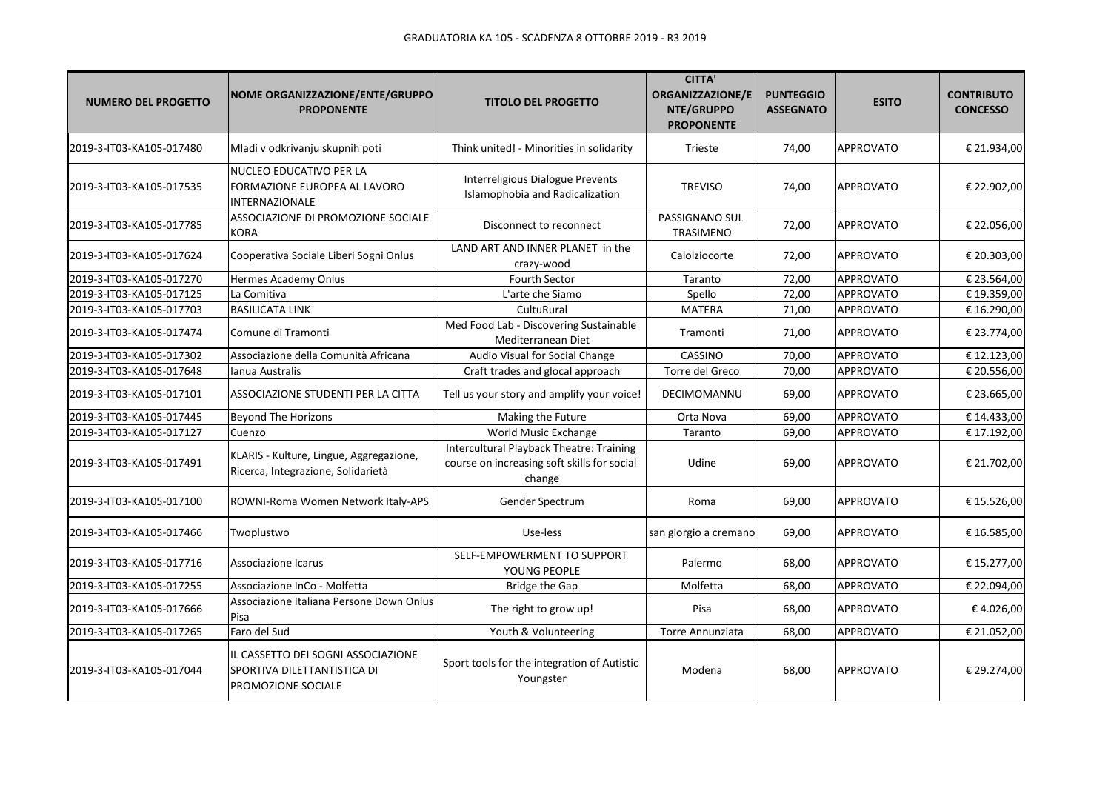| <b>NUMERO DEL PROGETTO</b> | NOME ORGANIZZAZIONE/ENTE/GRUPPO<br><b>PROPONENTE</b>                                    | <b>TITOLO DEL PROGETTO</b>                                                                               | <b>CITTA'</b><br>ORGANIZZAZIONE/E<br>NTE/GRUPPO<br><b>PROPONENTE</b> | <b>PUNTEGGIO</b><br><b>ASSEGNATO</b> | <b>ESITO</b>     | <b>CONTRIBUTO</b><br><b>CONCESSO</b> |
|----------------------------|-----------------------------------------------------------------------------------------|----------------------------------------------------------------------------------------------------------|----------------------------------------------------------------------|--------------------------------------|------------------|--------------------------------------|
| 2019-3-IT03-KA105-017480   | Mladi v odkrivanju skupnih poti                                                         | Think united! - Minorities in solidarity                                                                 | Trieste                                                              | 74,00                                | <b>APPROVATO</b> | € 21.934,00                          |
| 2019-3-IT03-KA105-017535   | NUCLEO EDUCATIVO PER LA<br>FORMAZIONE EUROPEA AL LAVORO<br><b>INTERNAZIONALE</b>        | Interreligious Dialogue Prevents<br>Islamophobia and Radicalization                                      | <b>TREVISO</b>                                                       | 74,00                                | <b>APPROVATO</b> | € 22.902,00                          |
| 2019-3-IT03-KA105-017785   | ASSOCIAZIONE DI PROMOZIONE SOCIALE<br>KORA                                              | Disconnect to reconnect                                                                                  | PASSIGNANO SUL<br>TRASIMENO                                          | 72,00                                | APPROVATO        | € 22.056,00                          |
| 2019-3-IT03-KA105-017624   | Cooperativa Sociale Liberi Sogni Onlus                                                  | LAND ART AND INNER PLANET in the<br>crazy-wood                                                           | Calolziocorte                                                        | 72,00                                | <b>APPROVATO</b> | € 20.303,00                          |
| 2019-3-IT03-KA105-017270   | Hermes Academy Onlus                                                                    | Fourth Sector                                                                                            | Taranto                                                              | 72,00                                | <b>APPROVATO</b> | € 23.564,00                          |
| 2019-3-IT03-KA105-017125   | La Comitiva                                                                             | L'arte che Siamo                                                                                         | Spello                                                               | 72,00                                | APPROVATO        | € 19.359,00                          |
| 2019-3-IT03-KA105-017703   | <b>BASILICATA LINK</b>                                                                  | CultuRural                                                                                               | <b>MATERA</b>                                                        | 71,00                                | APPROVATO        | €16.290,00                           |
| 2019-3-IT03-KA105-017474   | Comune di Tramonti                                                                      | Med Food Lab - Discovering Sustainable<br>Mediterranean Diet                                             | Tramonti                                                             | 71,00                                | <b>APPROVATO</b> | € 23.774,00                          |
| 2019-3-IT03-KA105-017302   | Associazione della Comunità Africana                                                    | Audio Visual for Social Change                                                                           | CASSINO                                                              | 70,00                                | <b>APPROVATO</b> | € 12.123,00                          |
| 2019-3-IT03-KA105-017648   | Ianua Australis                                                                         | Craft trades and glocal approach                                                                         | Torre del Greco                                                      | 70,00                                | APPROVATO        | € 20.556,00                          |
| 2019-3-IT03-KA105-017101   | ASSOCIAZIONE STUDENTI PER LA CITTA                                                      | Tell us your story and amplify your voice!                                                               | DECIMOMANNU                                                          | 69,00                                | <b>APPROVATO</b> | € 23.665,00                          |
| 2019-3-IT03-KA105-017445   | <b>Beyond The Horizons</b>                                                              | Making the Future                                                                                        | Orta Nova                                                            | 69,00                                | <b>APPROVATO</b> | € 14.433,00                          |
| 2019-3-IT03-KA105-017127   | Cuenzo                                                                                  | World Music Exchange                                                                                     | Taranto                                                              | 69,00                                | <b>APPROVATO</b> | € 17.192,00                          |
| 2019-3-IT03-KA105-017491   | KLARIS - Kulture, Lingue, Aggregazione,<br>Ricerca, Integrazione, Solidarietà           | <b>Intercultural Playback Theatre: Training</b><br>course on increasing soft skills for social<br>change | Udine                                                                | 69,00                                | <b>APPROVATO</b> | € 21.702,00                          |
| 2019-3-IT03-KA105-017100   | ROWNI-Roma Women Network Italy-APS                                                      | Gender Spectrum                                                                                          | Roma                                                                 | 69,00                                | APPROVATO        | € 15.526,00                          |
| 2019-3-IT03-KA105-017466   | Twoplustwo                                                                              | Use-less                                                                                                 | san giorgio a cremano                                                | 69,00                                | <b>APPROVATO</b> | € 16.585,00                          |
| 2019-3-IT03-KA105-017716   | Associazione Icarus                                                                     | SELF-EMPOWERMENT TO SUPPORT<br>YOUNG PEOPLE                                                              | Palermo                                                              | 68,00                                | <b>APPROVATO</b> | € 15.277,00                          |
| 2019-3-IT03-KA105-017255   | Associazione InCo - Molfetta                                                            | <b>Bridge the Gap</b>                                                                                    | Molfetta                                                             | 68,00                                | APPROVATO        | € 22.094,00                          |
| 2019-3-IT03-KA105-017666   | Associazione Italiana Persone Down Onlus<br>Pisa                                        | The right to grow up!                                                                                    | Pisa                                                                 | 68,00                                | <b>APPROVATO</b> | €4.026,00                            |
| 2019-3-IT03-KA105-017265   | Faro del Sud                                                                            | Youth & Volunteering                                                                                     | Torre Annunziata                                                     | 68,00                                | <b>APPROVATO</b> | € 21.052,00                          |
| 2019-3-IT03-KA105-017044   | IL CASSETTO DEI SOGNI ASSOCIAZIONE<br>SPORTIVA DILETTANTISTICA DI<br>PROMOZIONE SOCIALE | Sport tools for the integration of Autistic<br>Youngster                                                 | Modena                                                               | 68,00                                | <b>APPROVATO</b> | € 29.274,00                          |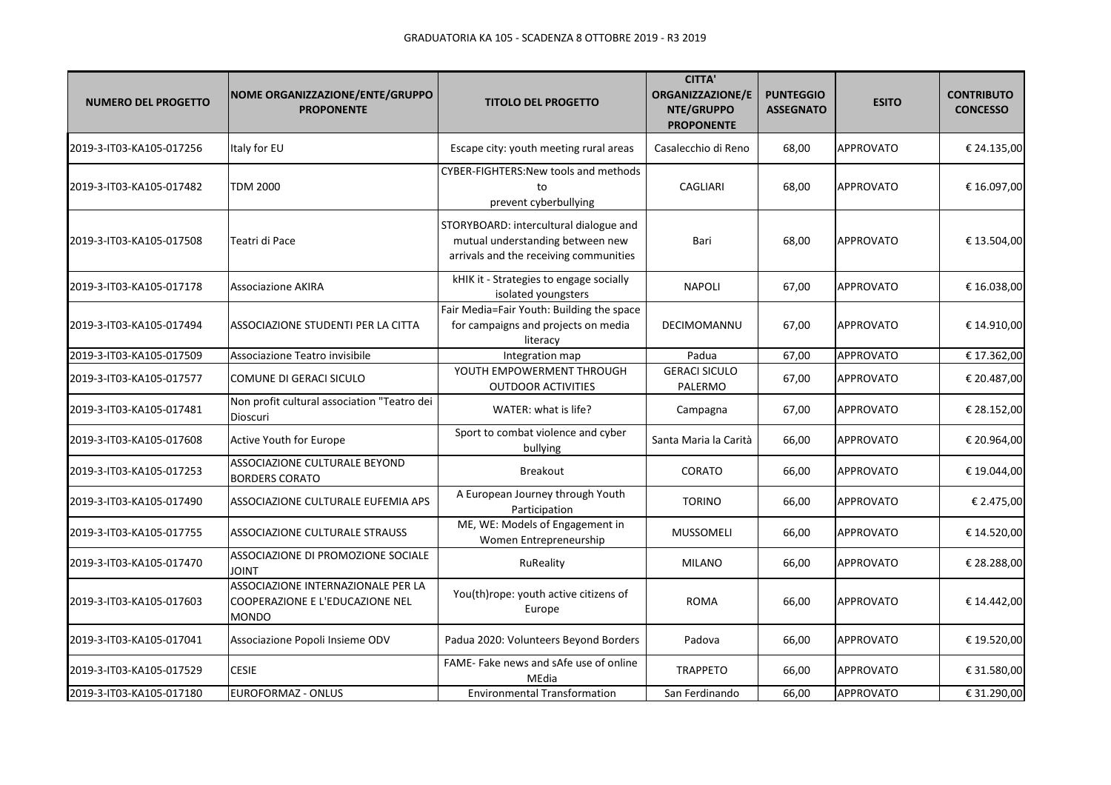| <b>NUMERO DEL PROGETTO</b> | NOME ORGANIZZAZIONE/ENTE/GRUPPO<br><b>PROPONENTE</b>                                  | <b>TITOLO DEL PROGETTO</b>                                                                                           | <b>CITTA'</b><br>ORGANIZZAZIONE/E<br>NTE/GRUPPO<br><b>PROPONENTE</b> | <b>PUNTEGGIO</b><br><b>ASSEGNATO</b> | <b>ESITO</b>     | <b>CONTRIBUTO</b><br><b>CONCESSO</b> |
|----------------------------|---------------------------------------------------------------------------------------|----------------------------------------------------------------------------------------------------------------------|----------------------------------------------------------------------|--------------------------------------|------------------|--------------------------------------|
| 2019-3-IT03-KA105-017256   | Italy for EU                                                                          | Escape city: youth meeting rural areas                                                                               | Casalecchio di Reno                                                  | 68,00                                | <b>APPROVATO</b> | € 24.135,00                          |
| 2019-3-IT03-KA105-017482   | <b>TDM 2000</b>                                                                       | CYBER-FIGHTERS: New tools and methods<br>to<br>prevent cyberbullying                                                 | <b>CAGLIARI</b>                                                      | 68,00                                | <b>APPROVATO</b> | € 16.097,00                          |
| 2019-3-IT03-KA105-017508   | Teatri di Pace                                                                        | STORYBOARD: intercultural dialogue and<br>mutual understanding between new<br>arrivals and the receiving communities | Bari                                                                 | 68,00                                | <b>APPROVATO</b> | € 13.504,00                          |
| 2019-3-IT03-KA105-017178   | <b>Associazione AKIRA</b>                                                             | kHIK it - Strategies to engage socially<br>isolated youngsters                                                       | <b>NAPOLI</b>                                                        | 67,00                                | <b>APPROVATO</b> | € 16.038,00                          |
| 2019-3-IT03-KA105-017494   | ASSOCIAZIONE STUDENTI PER LA CITTA                                                    | Fair Media=Fair Youth: Building the space<br>for campaigns and projects on media<br>literacy                         | DECIMOMANNU                                                          | 67,00                                | <b>APPROVATO</b> | € 14.910,00                          |
| 2019-3-IT03-KA105-017509   | Associazione Teatro invisibile                                                        | Integration map                                                                                                      | Padua                                                                | 67,00                                | <b>APPROVATO</b> | € 17.362,00                          |
| 2019-3-IT03-KA105-017577   | COMUNE DI GERACI SICULO                                                               | YOUTH EMPOWERMENT THROUGH<br><b>OUTDOOR ACTIVITIES</b>                                                               | <b>GERACI SICULO</b><br>PALERMO                                      | 67,00                                | <b>APPROVATO</b> | € 20.487,00                          |
| 2019-3-IT03-KA105-017481   | Non profit cultural association "Teatro dei<br>Dioscuri                               | WATER: what is life?                                                                                                 | Campagna                                                             | 67,00                                | <b>APPROVATO</b> | € 28.152,00                          |
| 2019-3-IT03-KA105-017608   | Active Youth for Europe                                                               | Sport to combat violence and cyber<br>bullying                                                                       | Santa Maria la Carità                                                | 66,00                                | <b>APPROVATO</b> | € 20.964,00                          |
| 2019-3-IT03-KA105-017253   | ASSOCIAZIONE CULTURALE BEYOND<br><b>BORDERS CORATO</b>                                | <b>Breakout</b>                                                                                                      | CORATO                                                               | 66,00                                | <b>APPROVATO</b> | € 19.044,00                          |
| 2019-3-IT03-KA105-017490   | ASSOCIAZIONE CULTURALE EUFEMIA APS                                                    | A European Journey through Youth<br>Participation                                                                    | <b>TORINO</b>                                                        | 66,00                                | <b>APPROVATO</b> | € 2.475,00                           |
| 2019-3-IT03-KA105-017755   | ASSOCIAZIONE CULTURALE STRAUSS                                                        | ME, WE: Models of Engagement in<br>Women Entrepreneurship                                                            | <b>MUSSOMELI</b>                                                     | 66,00                                | <b>APPROVATO</b> | € 14.520,00                          |
| 2019-3-IT03-KA105-017470   | ASSOCIAZIONE DI PROMOZIONE SOCIALE<br><b>JOINT</b>                                    | RuReality                                                                                                            | <b>MILANO</b>                                                        | 66,00                                | <b>APPROVATO</b> | € 28.288,00                          |
| 2019-3-IT03-KA105-017603   | ASSOCIAZIONE INTERNAZIONALE PER LA<br>COOPERAZIONE E L'EDUCAZIONE NEL<br><b>MONDO</b> | You(th)rope: youth active citizens of<br>Europe                                                                      | <b>ROMA</b>                                                          | 66,00                                | <b>APPROVATO</b> | € 14.442,00                          |
| 2019-3-IT03-KA105-017041   | Associazione Popoli Insieme ODV                                                       | Padua 2020: Volunteers Beyond Borders                                                                                | Padova                                                               | 66,00                                | <b>APPROVATO</b> | € 19.520,00                          |
| 2019-3-IT03-KA105-017529   | <b>CESIE</b>                                                                          | FAME- Fake news and sAfe use of online<br>MEdia                                                                      | <b>TRAPPETO</b>                                                      | 66,00                                | <b>APPROVATO</b> | € 31.580,00                          |
| 2019-3-IT03-KA105-017180   | EUROFORMAZ - ONLUS                                                                    | <b>Environmental Transformation</b>                                                                                  | San Ferdinando                                                       | 66,00                                | <b>APPROVATO</b> | € 31.290,00                          |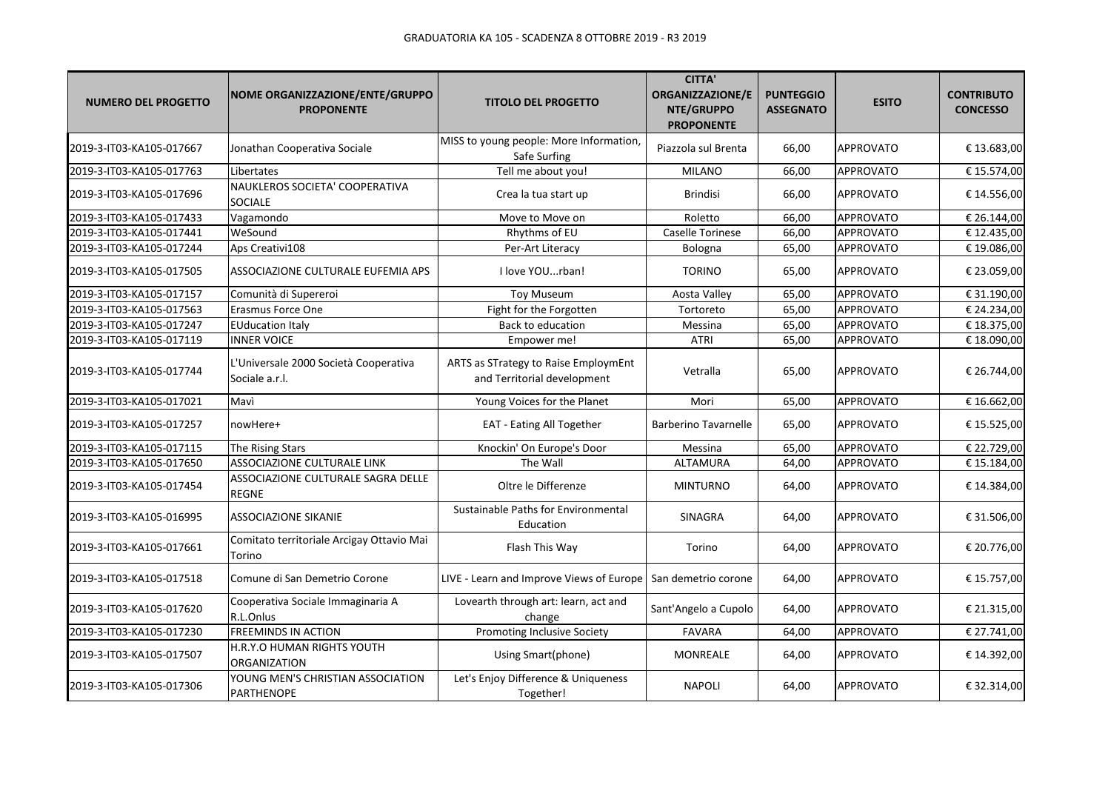| <b>NUMERO DEL PROGETTO</b> | NOME ORGANIZZAZIONE/ENTE/GRUPPO<br><b>PROPONENTE</b>    | <b>TITOLO DEL PROGETTO</b>                                          | <b>CITTA'</b><br><b>ORGANIZZAZIONE/E</b><br>NTE/GRUPPO<br><b>PROPONENTE</b> | <b>PUNTEGGIO</b><br><b>ASSEGNATO</b> | <b>ESITO</b>     | <b>CONTRIBUTO</b><br><b>CONCESSO</b> |
|----------------------------|---------------------------------------------------------|---------------------------------------------------------------------|-----------------------------------------------------------------------------|--------------------------------------|------------------|--------------------------------------|
| 2019-3-IT03-KA105-017667   | Jonathan Cooperativa Sociale                            | MISS to young people: More Information,<br>Safe Surfing             | Piazzola sul Brenta                                                         | 66,00                                | <b>APPROVATO</b> | € 13.683,00                          |
| 2019-3-IT03-KA105-017763   | Libertates                                              | Tell me about you!                                                  | <b>MILANO</b>                                                               | 66.00                                | <b>APPROVATO</b> | € 15.574,00                          |
| 2019-3-IT03-KA105-017696   | NAUKLEROS SOCIETA' COOPERATIVA<br><b>SOCIALE</b>        | Crea la tua start up                                                | <b>Brindisi</b>                                                             | 66,00                                | <b>APPROVATO</b> | € 14.556,00                          |
| 2019-3-IT03-KA105-017433   | Vagamondo                                               | Move to Move on                                                     | Roletto                                                                     | 66,00                                | <b>APPROVATO</b> | € 26.144,00                          |
| 2019-3-IT03-KA105-017441   | WeSound                                                 | Rhythms of EU                                                       | Caselle Torinese                                                            | 66,00                                | <b>APPROVATO</b> | € 12.435,00                          |
| 2019-3-IT03-KA105-017244   | Aps Creativi108                                         | Per-Art Literacy                                                    | Bologna                                                                     | 65,00                                | <b>APPROVATO</b> | € 19.086,00                          |
| 2019-3-IT03-KA105-017505   | ASSOCIAZIONE CULTURALE EUFEMIA APS                      | I love YOUrban!                                                     | <b>TORINO</b>                                                               | 65,00                                | <b>APPROVATO</b> | € 23.059,00                          |
| 2019-3-IT03-KA105-017157   | Comunità di Supereroi                                   | <b>Toy Museum</b>                                                   | Aosta Valley                                                                | 65,00                                | <b>APPROVATO</b> | € 31.190,00                          |
| 2019-3-IT03-KA105-017563   | Erasmus Force One                                       | Fight for the Forgotten                                             | Tortoreto                                                                   | 65,00                                | <b>APPROVATO</b> | € 24.234,00                          |
| 2019-3-IT03-KA105-017247   | <b>EUducation Italy</b>                                 | Back to education                                                   | Messina                                                                     | 65,00                                | <b>APPROVATO</b> | € 18.375,00                          |
| 2019-3-IT03-KA105-017119   | <b>INNER VOICE</b>                                      | Empower me!                                                         | <b>ATRI</b>                                                                 | 65,00                                | <b>APPROVATO</b> | € 18.090,00                          |
| 2019-3-IT03-KA105-017744   | L'Universale 2000 Società Cooperativa<br>Sociale a.r.l. | ARTS as STrategy to Raise EmploymEnt<br>and Territorial development | Vetralla                                                                    | 65,00                                | <b>APPROVATO</b> | € 26.744,00                          |
| 2019-3-IT03-KA105-017021   | Mavì                                                    | Young Voices for the Planet                                         | Mori                                                                        | 65,00                                | <b>APPROVATO</b> | € 16.662,00                          |
| 2019-3-IT03-KA105-017257   | nowHere+                                                | EAT - Eating All Together                                           | <b>Barberino Tavarnelle</b>                                                 | 65,00                                | <b>APPROVATO</b> | € 15.525,00                          |
| 2019-3-IT03-KA105-017115   | The Rising Stars                                        | Knockin' On Europe's Door                                           | Messina                                                                     | 65,00                                | <b>APPROVATO</b> | € 22.729,00                          |
| 2019-3-IT03-KA105-017650   | ASSOCIAZIONE CULTURALE LINK                             | The Wall                                                            | ALTAMURA                                                                    | 64,00                                | <b>APPROVATO</b> | € 15.184,00                          |
| 2019-3-IT03-KA105-017454   | ASSOCIAZIONE CULTURALE SAGRA DELLE<br><b>REGNE</b>      | Oltre le Differenze                                                 | <b>MINTURNO</b>                                                             | 64,00                                | <b>APPROVATO</b> | € 14.384,00                          |
| 2019-3-IT03-KA105-016995   | ASSOCIAZIONE SIKANIE                                    | Sustainable Paths for Environmental<br>Education                    | SINAGRA                                                                     | 64,00                                | <b>APPROVATO</b> | € 31.506,00                          |
| 2019-3-IT03-KA105-017661   | Comitato territoriale Arcigay Ottavio Mai<br>Torino     | Flash This Way                                                      | Torino                                                                      | 64,00                                | <b>APPROVATO</b> | € 20.776,00                          |
| 2019-3-IT03-KA105-017518   | Comune di San Demetrio Corone                           | LIVE - Learn and Improve Views of Europe                            | San demetrio corone                                                         | 64,00                                | <b>APPROVATO</b> | € 15.757,00                          |
| 2019-3-IT03-KA105-017620   | Cooperativa Sociale Immaginaria A<br>R.L.Onlus          | Lovearth through art: learn, act and<br>change                      | Sant'Angelo a Cupolo                                                        | 64,00                                | <b>APPROVATO</b> | € 21.315,00                          |
| 2019-3-IT03-KA105-017230   | <b>FREEMINDS IN ACTION</b>                              | Promoting Inclusive Society                                         | <b>FAVARA</b>                                                               | 64,00                                | <b>APPROVATO</b> | € 27.741,00                          |
| 2019-3-IT03-KA105-017507   | H.R.Y.O HUMAN RIGHTS YOUTH<br>ORGANIZATION              | Using Smart(phone)                                                  | MONREALE                                                                    | 64,00                                | <b>APPROVATO</b> | € 14.392,00                          |
| 2019-3-IT03-KA105-017306   | YOUNG MEN'S CHRISTIAN ASSOCIATION<br>PARTHENOPE         | Let's Enjoy Difference & Uniqueness<br>Together!                    | <b>NAPOLI</b>                                                               | 64,00                                | <b>APPROVATO</b> | € 32.314,00                          |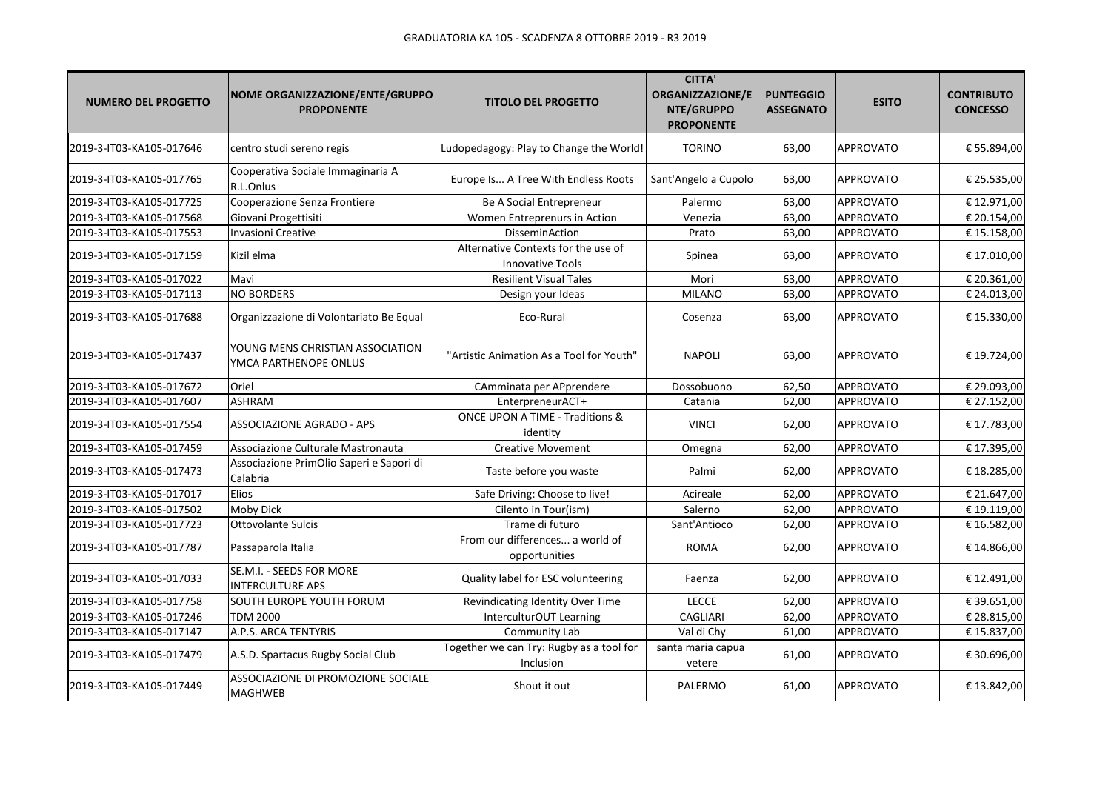| <b>NUMERO DEL PROGETTO</b> | NOME ORGANIZZAZIONE/ENTE/GRUPPO<br><b>PROPONENTE</b>      | <b>TITOLO DEL PROGETTO</b>                                     | <b>CITTA'</b><br><b>ORGANIZZAZIONE/E</b><br>NTE/GRUPPO<br><b>PROPONENTE</b> | <b>PUNTEGGIO</b><br><b>ASSEGNATO</b> | <b>ESITO</b>     | <b>CONTRIBUTO</b><br><b>CONCESSO</b> |
|----------------------------|-----------------------------------------------------------|----------------------------------------------------------------|-----------------------------------------------------------------------------|--------------------------------------|------------------|--------------------------------------|
| 2019-3-IT03-KA105-017646   | centro studi sereno regis                                 | Ludopedagogy: Play to Change the World!                        | <b>TORINO</b>                                                               | 63,00                                | <b>APPROVATO</b> | € 55.894,00                          |
| 2019-3-IT03-KA105-017765   | Cooperativa Sociale Immaginaria A<br>R.L.Onlus            | Europe Is A Tree With Endless Roots                            | Sant'Angelo a Cupolo                                                        | 63,00                                | <b>APPROVATO</b> | € 25.535,00                          |
| 2019-3-IT03-KA105-017725   | Cooperazione Senza Frontiere                              | Be A Social Entrepreneur                                       | Palermo                                                                     | 63,00                                | APPROVATO        | € 12.971,00                          |
| 2019-3-IT03-KA105-017568   | Giovani Progettisiti                                      | Women Entreprenurs in Action                                   | Venezia                                                                     | 63,00                                | <b>APPROVATO</b> | € 20.154,00                          |
| 2019-3-IT03-KA105-017553   | <b>Invasioni Creative</b>                                 | DisseminAction                                                 | Prato                                                                       | 63,00                                | <b>APPROVATO</b> | € 15.158,00                          |
| 2019-3-IT03-KA105-017159   | Kizil elma                                                | Alternative Contexts for the use of<br><b>Innovative Tools</b> | Spinea                                                                      | 63,00                                | <b>APPROVATO</b> | € 17.010,00                          |
| 2019-3-IT03-KA105-017022   | Mavì                                                      | <b>Resilient Visual Tales</b>                                  | Mori                                                                        | 63,00                                | <b>APPROVATO</b> | € 20.361,00                          |
| 2019-3-IT03-KA105-017113   | <b>NO BORDERS</b>                                         | Design your Ideas                                              | <b>MILANO</b>                                                               | 63,00                                | <b>APPROVATO</b> | € 24.013,00                          |
| 2019-3-IT03-KA105-017688   | Organizzazione di Volontariato Be Equal                   | Eco-Rural                                                      | Cosenza                                                                     | 63,00                                | <b>APPROVATO</b> | € 15.330,00                          |
| 2019-3-IT03-KA105-017437   | YOUNG MENS CHRISTIAN ASSOCIATION<br>YMCA PARTHENOPE ONLUS | "Artistic Animation As a Tool for Youth"                       | <b>NAPOLI</b>                                                               | 63,00                                | <b>APPROVATO</b> | € 19.724,00                          |
| 2019-3-IT03-KA105-017672   | Oriel                                                     | CAmminata per APprendere                                       | Dossobuono                                                                  | 62,50                                | <b>APPROVATO</b> | € 29.093,00                          |
| 2019-3-IT03-KA105-017607   | <b>ASHRAM</b>                                             | EnterpreneurACT+                                               | Catania                                                                     | 62,00                                | <b>APPROVATO</b> | € 27.152,00                          |
| 2019-3-IT03-KA105-017554   | <b>ASSOCIAZIONE AGRADO - APS</b>                          | ONCE UPON A TIME - Traditions &<br>identity                    | <b>VINCI</b>                                                                | 62,00                                | <b>APPROVATO</b> | € 17.783,00                          |
| 2019-3-IT03-KA105-017459   | Associazione Culturale Mastronauta                        | <b>Creative Movement</b>                                       | Omegna                                                                      | 62,00                                | <b>APPROVATO</b> | € 17.395,00                          |
| 2019-3-IT03-KA105-017473   | Associazione PrimOlio Saperi e Sapori di<br>Calabria      | Taste before you waste                                         | Palmi                                                                       | 62,00                                | <b>APPROVATO</b> | € 18.285,00                          |
| 2019-3-IT03-KA105-017017   | Elios                                                     | Safe Driving: Choose to live!                                  | Acireale                                                                    | 62,00                                | <b>APPROVATO</b> | € 21.647,00                          |
| 2019-3-IT03-KA105-017502   | Moby Dick                                                 | Cilento in Tour(ism)                                           | Salerno                                                                     | 62,00                                | <b>APPROVATO</b> | € 19.119,00                          |
| 2019-3-IT03-KA105-017723   | <b>Ottovolante Sulcis</b>                                 | Trame di futuro                                                | Sant'Antioco                                                                | 62,00                                | <b>APPROVATO</b> | € 16.582,00                          |
| 2019-3-IT03-KA105-017787   | Passaparola Italia                                        | From our differences a world of<br>opportunities               | <b>ROMA</b>                                                                 | 62,00                                | <b>APPROVATO</b> | € 14.866,00                          |
| 2019-3-IT03-KA105-017033   | SE.M.I. - SEEDS FOR MORE<br><b>INTERCULTURE APS</b>       | Quality label for ESC volunteering                             | Faenza                                                                      | 62,00                                | <b>APPROVATO</b> | € 12.491,00                          |
| 2019-3-IT03-KA105-017758   | SOUTH EUROPE YOUTH FORUM                                  | Revindicating Identity Over Time                               | LECCE                                                                       | 62,00                                | <b>APPROVATO</b> | € 39.651,00                          |
| 2019-3-IT03-KA105-017246   | <b>TDM 2000</b>                                           | InterculturOUT Learning                                        | CAGLIARI                                                                    | 62,00                                | <b>APPROVATO</b> | € 28.815,00                          |
| 2019-3-IT03-KA105-017147   | A.P.S. ARCA TENTYRIS                                      | Community Lab                                                  | Val di Chy                                                                  | 61,00                                | APPROVATO        | € 15.837,00                          |
| 2019-3-IT03-KA105-017479   | A.S.D. Spartacus Rugby Social Club                        | Together we can Try: Rugby as a tool for<br>Inclusion          | santa maria capua<br>vetere                                                 | 61,00                                | <b>APPROVATO</b> | € 30.696,00                          |
| 2019-3-IT03-KA105-017449   | ASSOCIAZIONE DI PROMOZIONE SOCIALE<br><b>MAGHWEB</b>      | Shout it out                                                   | PALERMO                                                                     | 61,00                                | <b>APPROVATO</b> | € 13.842,00                          |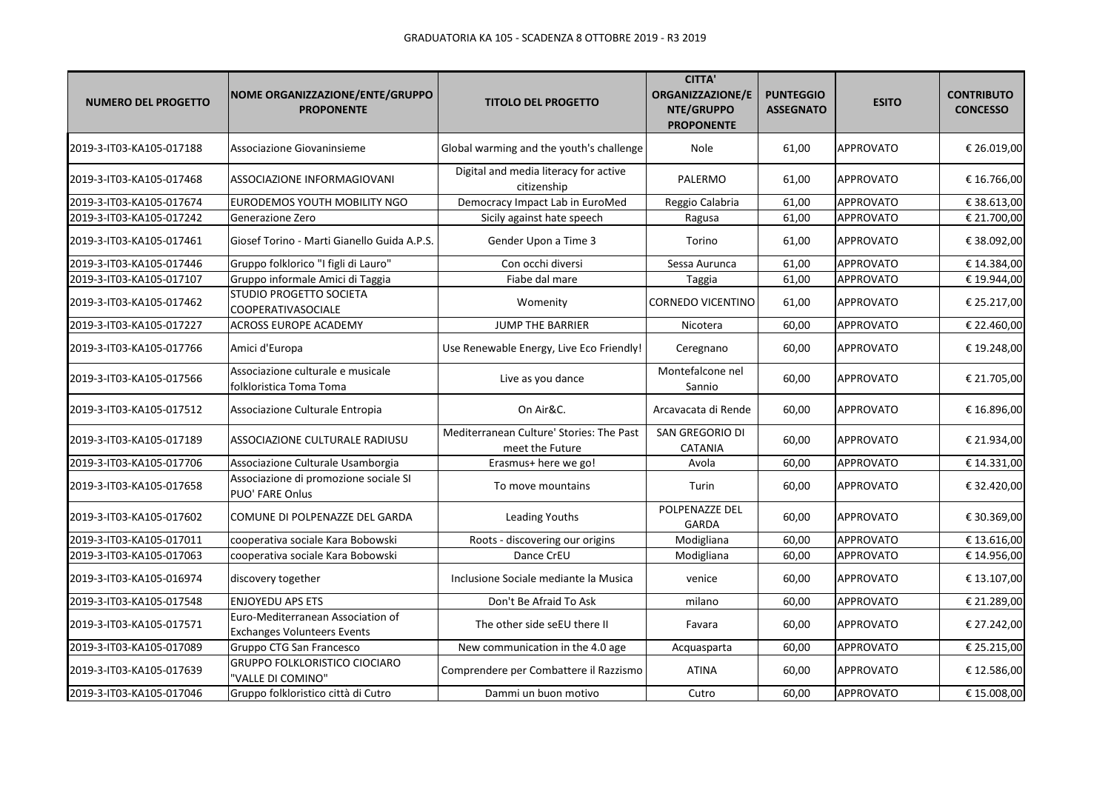| <b>NUMERO DEL PROGETTO</b> | NOME ORGANIZZAZIONE/ENTE/GRUPPO<br><b>PROPONENTE</b>                    | <b>TITOLO DEL PROGETTO</b>                                  | <b>CITTA'</b><br>ORGANIZZAZIONE/E<br>NTE/GRUPPO<br><b>PROPONENTE</b> | <b>PUNTEGGIO</b><br><b>ASSEGNATO</b> | <b>ESITO</b>     | <b>CONTRIBUTO</b><br><b>CONCESSO</b> |
|----------------------------|-------------------------------------------------------------------------|-------------------------------------------------------------|----------------------------------------------------------------------|--------------------------------------|------------------|--------------------------------------|
| 2019-3-IT03-KA105-017188   | Associazione Giovaninsieme                                              | Global warming and the youth's challenge                    | Nole                                                                 | 61,00                                | <b>APPROVATO</b> | € 26.019,00                          |
| 2019-3-IT03-KA105-017468   | ASSOCIAZIONE INFORMAGIOVANI                                             | Digital and media literacy for active<br>citizenship        | PALERMO                                                              | 61,00                                | <b>APPROVATO</b> | € 16.766,00                          |
| 2019-3-IT03-KA105-017674   | EURODEMOS YOUTH MOBILITY NGO                                            | Democracy Impact Lab in EuroMed                             | Reggio Calabria                                                      | 61,00                                | <b>APPROVATO</b> | €38.613,00                           |
| 2019-3-IT03-KA105-017242   | Generazione Zero                                                        | Sicily against hate speech                                  | Ragusa                                                               | 61,00                                | APPROVATO        | € 21.700,00                          |
| 2019-3-IT03-KA105-017461   | Giosef Torino - Marti Gianello Guida A.P.S.                             | Gender Upon a Time 3                                        | Torino                                                               | 61,00                                | APPROVATO        | €38.092,00                           |
| 2019-3-IT03-KA105-017446   | Gruppo folklorico "I figli di Lauro"                                    | Con occhi diversi                                           | Sessa Aurunca                                                        | 61,00                                | APPROVATO        | € 14.384,00                          |
| 2019-3-IT03-KA105-017107   | Gruppo informale Amici di Taggia                                        | Fiabe dal mare                                              | Taggia                                                               | 61,00                                | <b>APPROVATO</b> | € 19.944,00                          |
| 2019-3-IT03-KA105-017462   | STUDIO PROGETTO SOCIETA<br>COOPERATIVASOCIALE                           | Womenity                                                    | CORNEDO VICENTINO                                                    | 61,00                                | <b>APPROVATO</b> | € 25.217,00                          |
| 2019-3-IT03-KA105-017227   | ACROSS EUROPE ACADEMY                                                   | JUMP THE BARRIER                                            | Nicotera                                                             | 60,00                                | APPROVATO        | € 22.460,00                          |
| 2019-3-IT03-KA105-017766   | Amici d'Europa                                                          | Use Renewable Energy, Live Eco Friendly!                    | Ceregnano                                                            | 60,00                                | <b>APPROVATO</b> | € 19.248,00                          |
| 2019-3-IT03-KA105-017566   | Associazione culturale e musicale<br>folkloristica Toma Toma            | Live as you dance                                           | Montefalcone nel<br>Sannio                                           | 60,00                                | APPROVATO        | € 21.705,00                          |
| 2019-3-IT03-KA105-017512   | Associazione Culturale Entropia                                         | On Air&C.                                                   | Arcavacata di Rende                                                  | 60,00                                | APPROVATO        | € 16.896,00                          |
| 2019-3-IT03-KA105-017189   | ASSOCIAZIONE CULTURALE RADIUSU                                          | Mediterranean Culture' Stories: The Past<br>meet the Future | SAN GREGORIO DI<br>CATANIA                                           | 60,00                                | <b>APPROVATO</b> | € 21.934,00                          |
| 2019-3-IT03-KA105-017706   | Associazione Culturale Usamborgia                                       | Erasmus+ here we go!                                        | Avola                                                                | 60,00                                | <b>APPROVATO</b> | € 14.331,00                          |
| 2019-3-IT03-KA105-017658   | Associazione di promozione sociale SI<br>PUO' FARE Onlus                | To move mountains                                           | Turin                                                                | 60,00                                | <b>APPROVATO</b> | € 32.420,00                          |
| 2019-3-IT03-KA105-017602   | COMUNE DI POLPENAZZE DEL GARDA                                          | Leading Youths                                              | POLPENAZZE DEL<br>GARDA                                              | 60,00                                | <b>APPROVATO</b> | € 30.369,00                          |
| 2019-3-IT03-KA105-017011   | cooperativa sociale Kara Bobowski                                       | Roots - discovering our origins                             | Modigliana                                                           | 60,00                                | <b>APPROVATO</b> | € 13.616,00                          |
| 2019-3-IT03-KA105-017063   | cooperativa sociale Kara Bobowski                                       | Dance CrEU                                                  | Modigliana                                                           | 60,00                                | <b>APPROVATO</b> | € 14.956,00                          |
| 2019-3-IT03-KA105-016974   | discovery together                                                      | Inclusione Sociale mediante la Musica                       | venice                                                               | 60,00                                | <b>APPROVATO</b> | € 13.107,00                          |
| 2019-3-IT03-KA105-017548   | <b>ENJOYEDU APS ETS</b>                                                 | Don't Be Afraid To Ask                                      | milano                                                               | 60,00                                | <b>APPROVATO</b> | € 21.289,00                          |
| 2019-3-IT03-KA105-017571   | Euro-Mediterranean Association of<br><b>Exchanges Volunteers Events</b> | The other side seEU there II                                | Favara                                                               | 60,00                                | <b>APPROVATO</b> | € 27.242,00                          |
| 2019-3-IT03-KA105-017089   | Gruppo CTG San Francesco                                                | New communication in the 4.0 age                            | Acquasparta                                                          | 60,00                                | <b>APPROVATO</b> | € 25.215,00                          |
| 2019-3-IT03-KA105-017639   | GRUPPO FOLKLORISTICO CIOCIARO<br>'VALLE DI COMINO"                      | Comprendere per Combattere il Razzismo                      | <b>ATINA</b>                                                         | 60,00                                | <b>APPROVATO</b> | € 12.586,00                          |
| 2019-3-IT03-KA105-017046   | Gruppo folkloristico città di Cutro                                     | Dammi un buon motivo                                        | Cutro                                                                | 60,00                                | APPROVATO        | € 15.008,00                          |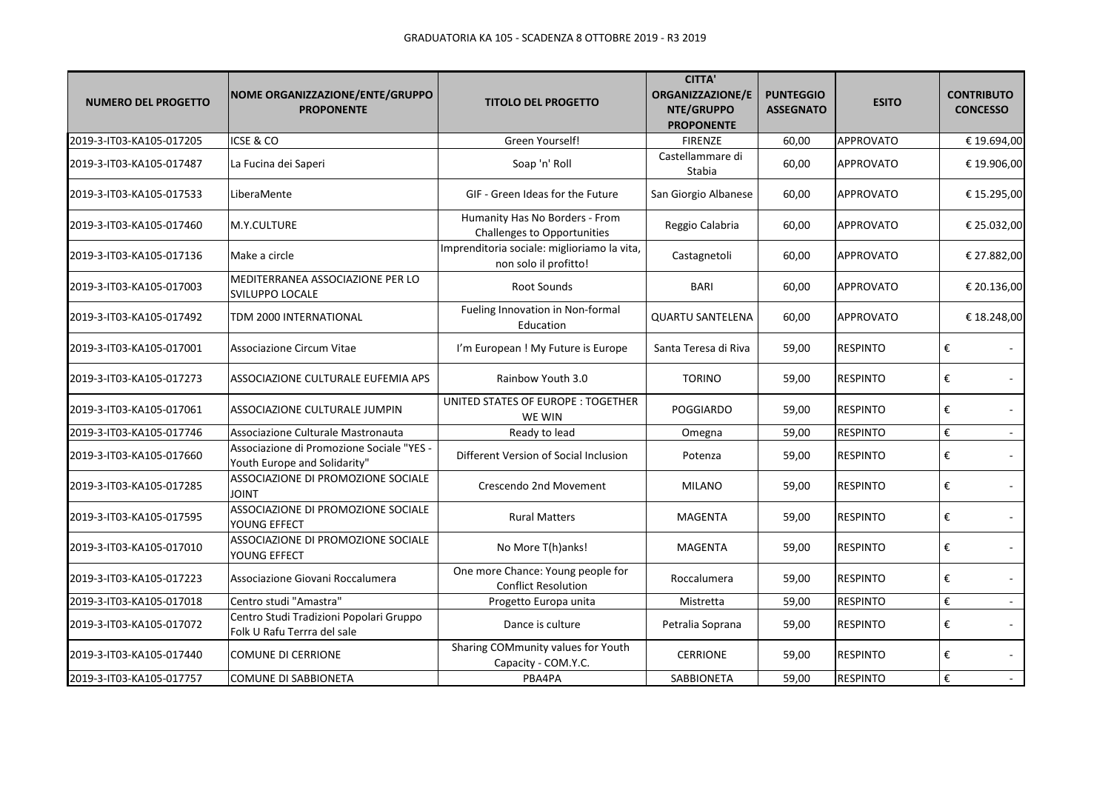| <b>NUMERO DEL PROGETTO</b> | NOME ORGANIZZAZIONE/ENTE/GRUPPO<br><b>PROPONENTE</b>                      | <b>TITOLO DEL PROGETTO</b>                                           | <b>CITTA'</b><br>ORGANIZZAZIONE/E<br>NTE/GRUPPO<br><b>PROPONENTE</b> | <b>PUNTEGGIO</b><br><b>ASSEGNATO</b> | <b>ESITO</b>     | <b>CONTRIBUTO</b><br><b>CONCESSO</b> |
|----------------------------|---------------------------------------------------------------------------|----------------------------------------------------------------------|----------------------------------------------------------------------|--------------------------------------|------------------|--------------------------------------|
| 2019-3-IT03-KA105-017205   | ICSE & CO                                                                 | Green Yourself!                                                      | <b>FIRENZE</b>                                                       | 60,00                                | <b>APPROVATO</b> | € 19.694,00                          |
| 2019-3-IT03-KA105-017487   | La Fucina dei Saperi                                                      | Soap 'n' Roll                                                        | Castellammare di<br>Stabia                                           | 60,00                                | <b>APPROVATO</b> | € 19.906,00                          |
| 2019-3-IT03-KA105-017533   | LiberaMente                                                               | GIF - Green Ideas for the Future                                     | San Giorgio Albanese                                                 | 60,00                                | <b>APPROVATO</b> | € 15.295,00                          |
| 2019-3-IT03-KA105-017460   | M.Y.CULTURE                                                               | Humanity Has No Borders - From<br><b>Challenges to Opportunities</b> | Reggio Calabria                                                      | 60,00                                | <b>APPROVATO</b> | € 25.032,00                          |
| 2019-3-IT03-KA105-017136   | Make a circle                                                             | Imprenditoria sociale: miglioriamo la vita,<br>non solo il profitto! | Castagnetoli                                                         | 60,00                                | <b>APPROVATO</b> | € 27.882,00                          |
| 2019-3-IT03-KA105-017003   | MEDITERRANEA ASSOCIAZIONE PER LO<br>SVILUPPO LOCALE                       | <b>Root Sounds</b>                                                   | <b>BARI</b>                                                          | 60,00                                | <b>APPROVATO</b> | € 20.136,00                          |
| 2019-3-IT03-KA105-017492   | TDM 2000 INTERNATIONAL                                                    | Fueling Innovation in Non-formal<br>Education                        | <b>QUARTU SANTELENA</b>                                              | 60,00                                | <b>APPROVATO</b> | € 18.248,00                          |
| 2019-3-IT03-KA105-017001   | Associazione Circum Vitae                                                 | I'm European ! My Future is Europe                                   | Santa Teresa di Riva                                                 | 59,00                                | <b>RESPINTO</b>  | €                                    |
| 2019-3-IT03-KA105-017273   | ASSOCIAZIONE CULTURALE EUFEMIA APS                                        | Rainbow Youth 3.0                                                    | <b>TORINO</b>                                                        | 59,00                                | <b>RESPINTO</b>  | €                                    |
| 2019-3-IT03-KA105-017061   | ASSOCIAZIONE CULTURALE JUMPIN                                             | UNITED STATES OF EUROPE : TOGETHER<br>WE WIN                         | <b>POGGIARDO</b>                                                     | 59,00                                | <b>RESPINTO</b>  | €                                    |
| 2019-3-IT03-KA105-017746   | Associazione Culturale Mastronauta                                        | Ready to lead                                                        | Omegna                                                               | 59,00                                | <b>RESPINTO</b>  | €<br>$\omega$ .                      |
| 2019-3-IT03-KA105-017660   | Associazione di Promozione Sociale "YES -<br>Youth Europe and Solidarity" | Different Version of Social Inclusion                                | Potenza                                                              | 59,00                                | <b>RESPINTO</b>  | €                                    |
| 2019-3-IT03-KA105-017285   | ASSOCIAZIONE DI PROMOZIONE SOCIALE<br><b>TINIOL</b>                       | Crescendo 2nd Movement                                               | <b>MILANO</b>                                                        | 59,00                                | <b>RESPINTO</b>  | €<br>$\sim$                          |
| 2019-3-IT03-KA105-017595   | ASSOCIAZIONE DI PROMOZIONE SOCIALE<br>YOUNG EFFECT                        | <b>Rural Matters</b>                                                 | <b>MAGENTA</b>                                                       | 59,00                                | <b>RESPINTO</b>  | €                                    |
| 2019-3-IT03-KA105-017010   | ASSOCIAZIONE DI PROMOZIONE SOCIALE<br>YOUNG EFFECT                        | No More T(h)anks!                                                    | <b>MAGENTA</b>                                                       | 59,00                                | <b>RESPINTO</b>  | €                                    |
| 2019-3-IT03-KA105-017223   | Associazione Giovani Roccalumera                                          | One more Chance: Young people for<br><b>Conflict Resolution</b>      | Roccalumera                                                          | 59,00                                | <b>RESPINTO</b>  | €                                    |
| 2019-3-IT03-KA105-017018   | Centro studi "Amastra"                                                    | Progetto Europa unita                                                | Mistretta                                                            | 59,00                                | <b>RESPINTO</b>  | €<br>$\mathcal{L}_{\mathcal{A}}$     |
| 2019-3-IT03-KA105-017072   | Centro Studi Tradizioni Popolari Gruppo<br>Folk U Rafu Terrra del sale    | Dance is culture                                                     | Petralia Soprana                                                     | 59,00                                | <b>RESPINTO</b>  | €                                    |
| 2019-3-IT03-KA105-017440   | <b>COMUNE DI CERRIONE</b>                                                 | Sharing COMmunity values for Youth<br>Capacity - COM.Y.C.            | <b>CERRIONE</b>                                                      | 59,00                                | <b>RESPINTO</b>  | €<br>$\sim$                          |
| 2019-3-IT03-KA105-017757   | COMUNE DI SABBIONETA                                                      | PBA4PA                                                               | <b>SABBIONETA</b>                                                    | 59,00                                | <b>RESPINTO</b>  | €<br>$\sim$                          |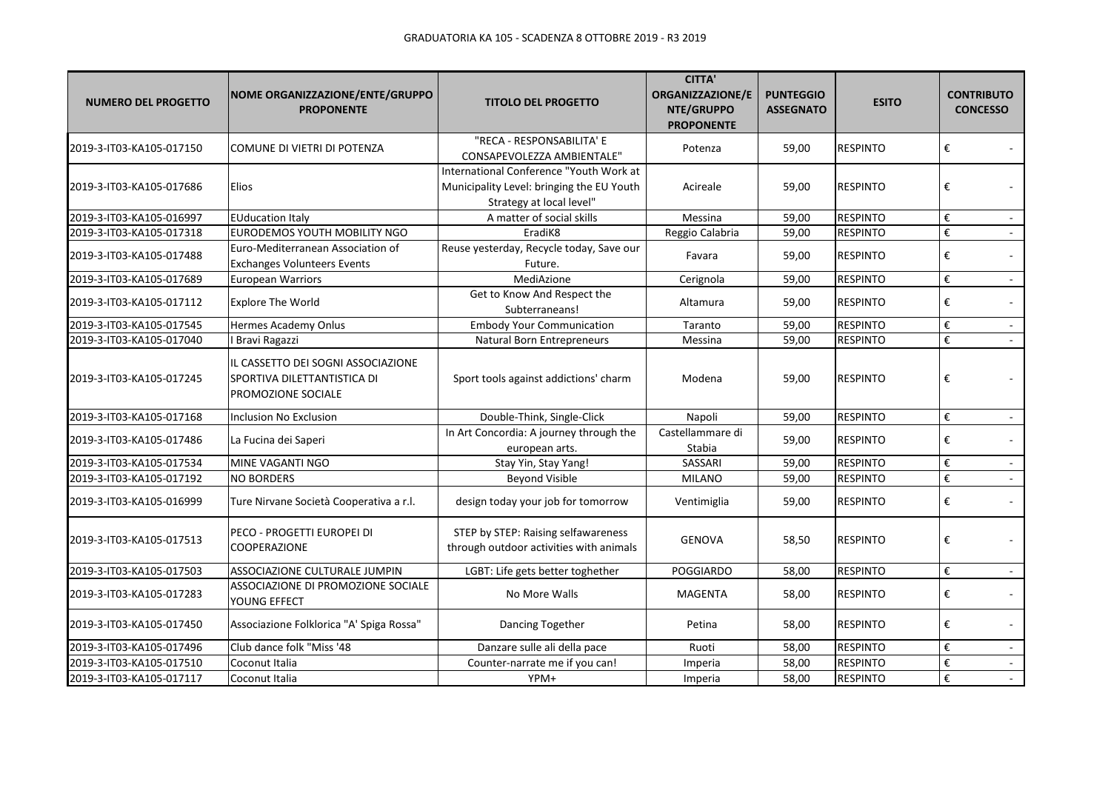| <b>NUMERO DEL PROGETTO</b> | NOME ORGANIZZAZIONE/ENTE/GRUPPO<br><b>PROPONENTE</b>                                    | <b>TITOLO DEL PROGETTO</b>                                                                                       | <b>CITTA'</b><br><b>ORGANIZZAZIONE/E</b><br>NTE/GRUPPO<br><b>PROPONENTE</b> | <b>PUNTEGGIO</b><br><b>ASSEGNATO</b> | <b>ESITO</b>    | <b>CONTRIBUTO</b><br><b>CONCESSO</b>      |
|----------------------------|-----------------------------------------------------------------------------------------|------------------------------------------------------------------------------------------------------------------|-----------------------------------------------------------------------------|--------------------------------------|-----------------|-------------------------------------------|
| 2019-3-IT03-KA105-017150   | COMUNE DI VIETRI DI POTENZA                                                             | "RECA - RESPONSABILITA' E<br>CONSAPEVOLEZZA AMBIENTALE"                                                          | Potenza                                                                     | 59,00                                | <b>RESPINTO</b> | €                                         |
| 2019-3-IT03-KA105-017686   | Elios                                                                                   | International Conference "Youth Work at<br>Municipality Level: bringing the EU Youth<br>Strategy at local level" | Acireale                                                                    | 59,00                                | <b>RESPINTO</b> | €                                         |
| 2019-3-IT03-KA105-016997   | <b>EUducation Italy</b>                                                                 | A matter of social skills                                                                                        | Messina                                                                     | 59,00                                | <b>RESPINTO</b> | €                                         |
| 2019-3-IT03-KA105-017318   | EURODEMOS YOUTH MOBILITY NGO                                                            | EradiK8                                                                                                          | Reggio Calabria                                                             | 59,00                                | <b>RESPINTO</b> | €                                         |
| 2019-3-IT03-KA105-017488   | Euro-Mediterranean Association of<br><b>Exchanges Volunteers Events</b>                 | Reuse yesterday, Recycle today, Save our<br>Future.                                                              | Favara                                                                      | 59,00                                | <b>RESPINTO</b> | €                                         |
| 2019-3-IT03-KA105-017689   | <b>European Warriors</b>                                                                | MediAzione                                                                                                       | Cerignola                                                                   | 59,00                                | <b>RESPINTO</b> | $\boldsymbol{\epsilon}$<br>$\blacksquare$ |
| 2019-3-IT03-KA105-017112   | <b>Explore The World</b>                                                                | Get to Know And Respect the<br>Subterraneans!                                                                    | Altamura                                                                    | 59,00                                | <b>RESPINTO</b> | €                                         |
| 2019-3-IT03-KA105-017545   | Hermes Academy Onlus                                                                    | <b>Embody Your Communication</b>                                                                                 | Taranto                                                                     | 59,00                                | <b>RESPINTO</b> | $\boldsymbol{\epsilon}$                   |
| 2019-3-IT03-KA105-017040   | <b>Bravi Ragazzi</b>                                                                    | <b>Natural Born Entrepreneurs</b>                                                                                | Messina                                                                     | 59,00                                | <b>RESPINTO</b> | €                                         |
| 2019-3-IT03-KA105-017245   | IL CASSETTO DEI SOGNI ASSOCIAZIONE<br>SPORTIVA DILETTANTISTICA DI<br>PROMOZIONE SOCIALE | Sport tools against addictions' charm                                                                            | Modena                                                                      | 59,00                                | <b>RESPINTO</b> | €                                         |
| 2019-3-IT03-KA105-017168   | Inclusion No Exclusion                                                                  | Double-Think, Single-Click                                                                                       | Napoli                                                                      | 59,00                                | <b>RESPINTO</b> | €<br>$\sim$                               |
| 2019-3-IT03-KA105-017486   | La Fucina dei Saperi                                                                    | In Art Concordia: A journey through the<br>european arts.                                                        | Castellammare di<br>Stabia                                                  | 59,00                                | <b>RESPINTO</b> | €                                         |
| 2019-3-IT03-KA105-017534   | MINE VAGANTI NGO                                                                        | Stay Yin, Stay Yang!                                                                                             | SASSARI                                                                     | 59,00                                | <b>RESPINTO</b> | $\boldsymbol{\epsilon}$<br>$\mathcal{L}$  |
| 2019-3-IT03-KA105-017192   | <b>NO BORDERS</b>                                                                       | <b>Beyond Visible</b>                                                                                            | <b>MILANO</b>                                                               | 59,00                                | <b>RESPINTO</b> | €<br>$\omega$ .                           |
| 2019-3-IT03-KA105-016999   | Ture Nirvane Società Cooperativa a r.l.                                                 | design today your job for tomorrow                                                                               | Ventimiglia                                                                 | 59,00                                | <b>RESPINTO</b> | €                                         |
| 2019-3-IT03-KA105-017513   | PECO - PROGETTI EUROPEI DI<br>COOPERAZIONE                                              | STEP by STEP: Raising selfawareness<br>through outdoor activities with animals                                   | <b>GENOVA</b>                                                               | 58,50                                | <b>RESPINTO</b> | €                                         |
| 2019-3-IT03-KA105-017503   | ASSOCIAZIONE CULTURALE JUMPIN                                                           | LGBT: Life gets better toghether                                                                                 | <b>POGGIARDO</b>                                                            | 58,00                                | <b>RESPINTO</b> | €<br>$\mathcal{L}_{\mathcal{A}}$          |
| 2019-3-IT03-KA105-017283   | ASSOCIAZIONE DI PROMOZIONE SOCIALE<br>YOUNG EFFECT                                      | No More Walls                                                                                                    | <b>MAGENTA</b>                                                              | 58,00                                | <b>RESPINTO</b> | €                                         |
| 2019-3-IT03-KA105-017450   | Associazione Folklorica "A' Spiga Rossa"                                                | Dancing Together                                                                                                 | Petina                                                                      | 58,00                                | <b>RESPINTO</b> | €                                         |
| 2019-3-IT03-KA105-017496   | Club dance folk "Miss '48                                                               | Danzare sulle ali della pace                                                                                     | Ruoti                                                                       | 58,00                                | <b>RESPINTO</b> | $\boldsymbol{\epsilon}$<br>$\sim$         |
| 2019-3-IT03-KA105-017510   | Coconut Italia                                                                          | Counter-narrate me if you can!                                                                                   | Imperia                                                                     | 58,00                                | <b>RESPINTO</b> | €                                         |
| 2019-3-IT03-KA105-017117   | Coconut Italia                                                                          | YPM+                                                                                                             | Imperia                                                                     | 58,00                                | <b>RESPINTO</b> | $\boldsymbol{\epsilon}$<br>$\mathbb{Z}^2$ |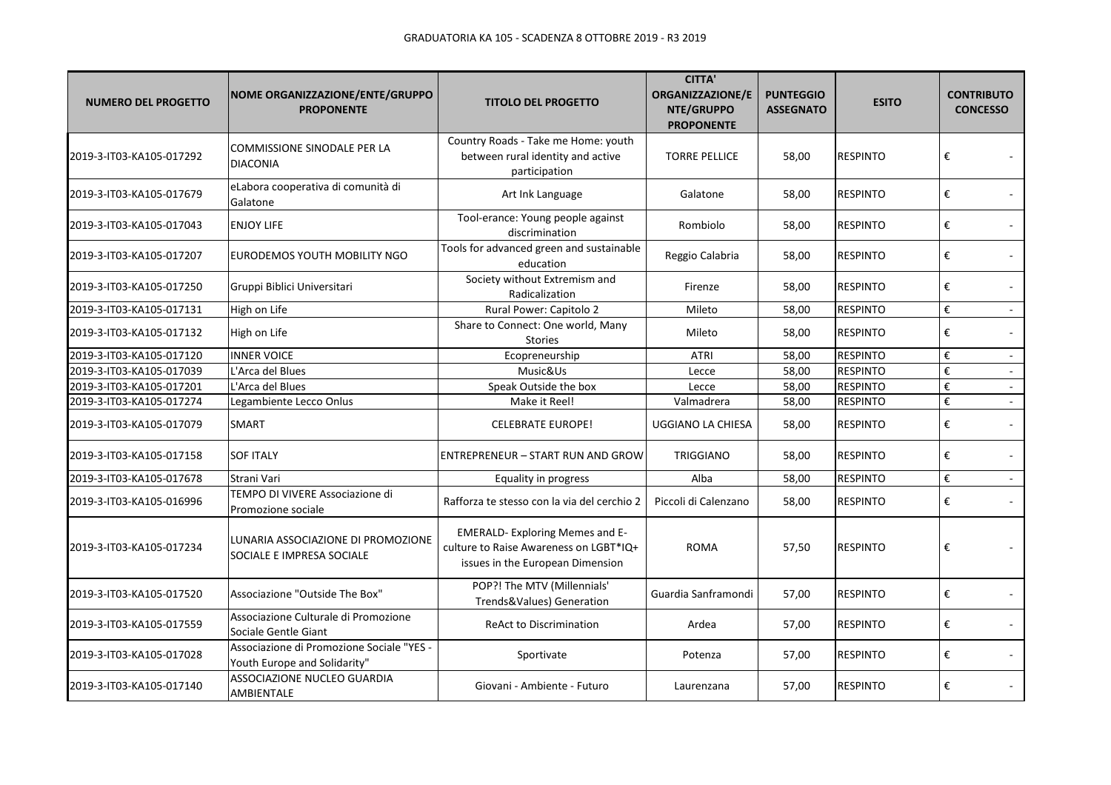| <b>NUMERO DEL PROGETTO</b> | NOME ORGANIZZAZIONE/ENTE/GRUPPO<br><b>PROPONENTE</b>                      | <b>TITOLO DEL PROGETTO</b>                                                                                          | <b>CITTA'</b><br><b>ORGANIZZAZIONE/E</b><br>NTE/GRUPPO<br><b>PROPONENTE</b> | <b>PUNTEGGIO</b><br><b>ASSEGNATO</b> | <b>ESITO</b>    | <b>CONTRIBUTO</b><br><b>CONCESSO</b> |
|----------------------------|---------------------------------------------------------------------------|---------------------------------------------------------------------------------------------------------------------|-----------------------------------------------------------------------------|--------------------------------------|-----------------|--------------------------------------|
| 2019-3-IT03-KA105-017292   | <b>COMMISSIONE SINODALE PER LA</b><br><b>DIACONIA</b>                     | Country Roads - Take me Home: youth<br>between rural identity and active<br>participation                           | <b>TORRE PELLICE</b>                                                        | 58,00                                | <b>RESPINTO</b> | €                                    |
| 2019-3-IT03-KA105-017679   | eLabora cooperativa di comunità di<br>Galatone                            | Art Ink Language                                                                                                    | Galatone                                                                    | 58,00                                | <b>RESPINTO</b> | €                                    |
| 2019-3-IT03-KA105-017043   | <b>ENJOY LIFE</b>                                                         | Tool-erance: Young people against<br>discrimination                                                                 | Rombiolo                                                                    | 58,00                                | <b>RESPINTO</b> | €                                    |
| 2019-3-IT03-KA105-017207   | EURODEMOS YOUTH MOBILITY NGO                                              | Tools for advanced green and sustainable<br>education                                                               | Reggio Calabria                                                             | 58,00                                | <b>RESPINTO</b> | €                                    |
| 2019-3-IT03-KA105-017250   | Gruppi Biblici Universitari                                               | Society without Extremism and<br>Radicalization                                                                     | Firenze                                                                     | 58,00                                | <b>RESPINTO</b> | €                                    |
| 2019-3-IT03-KA105-017131   | High on Life                                                              | Rural Power: Capitolo 2                                                                                             | Mileto                                                                      | 58,00                                | <b>RESPINTO</b> | $\boldsymbol{\epsilon}$<br>$\sim$    |
| 2019-3-IT03-KA105-017132   | High on Life                                                              | Share to Connect: One world, Many<br><b>Stories</b>                                                                 | Mileto                                                                      | 58,00                                | <b>RESPINTO</b> | €                                    |
| 2019-3-IT03-KA105-017120   | <b>INNER VOICE</b>                                                        | Ecopreneurship                                                                                                      | <b>ATRI</b>                                                                 | 58,00                                | <b>RESPINTO</b> | $\boldsymbol{\epsilon}$              |
| 2019-3-IT03-KA105-017039   | L'Arca del Blues                                                          | Music&Us                                                                                                            | Lecce                                                                       | 58,00                                | <b>RESPINTO</b> | €<br>$\mathbf{r}$                    |
| 2019-3-IT03-KA105-017201   | L'Arca del Blues                                                          | Speak Outside the box                                                                                               | Lecce                                                                       | 58,00                                | <b>RESPINTO</b> | €<br>$\sim$                          |
| 2019-3-IT03-KA105-017274   | Legambiente Lecco Onlus                                                   | Make it Reel!                                                                                                       | Valmadrera                                                                  | 58,00                                | <b>RESPINTO</b> | €                                    |
| 2019-3-IT03-KA105-017079   | SMART                                                                     | <b>CELEBRATE EUROPE!</b>                                                                                            | UGGIANO LA CHIESA                                                           | 58,00                                | <b>RESPINTO</b> | €                                    |
| 2019-3-IT03-KA105-017158   | <b>SOF ITALY</b>                                                          | <b>ENTREPRENEUR - START RUN AND GROW</b>                                                                            | <b>TRIGGIANO</b>                                                            | 58,00                                | <b>RESPINTO</b> | €                                    |
| 2019-3-IT03-KA105-017678   | Strani Vari                                                               | Equality in progress                                                                                                | Alba                                                                        | 58,00                                | <b>RESPINTO</b> | €<br>$\blacksquare$                  |
| 2019-3-IT03-KA105-016996   | TEMPO DI VIVERE Associazione di<br>Promozione sociale                     | Rafforza te stesso con la via del cerchio 2                                                                         | Piccoli di Calenzano                                                        | 58,00                                | <b>RESPINTO</b> | €                                    |
| 2019-3-IT03-KA105-017234   | LUNARIA ASSOCIAZIONE DI PROMOZIONE<br>SOCIALE E IMPRESA SOCIALE           | <b>EMERALD-Exploring Memes and E-</b><br>culture to Raise Awareness on LGBT*IQ+<br>issues in the European Dimension | <b>ROMA</b>                                                                 | 57,50                                | <b>RESPINTO</b> | €                                    |
| 2019-3-IT03-KA105-017520   | Associazione "Outside The Box"                                            | POP?! The MTV (Millennials'<br>Trends&Values) Generation                                                            | Guardia Sanframondi                                                         | 57,00                                | <b>RESPINTO</b> | €                                    |
| 2019-3-IT03-KA105-017559   | Associazione Culturale di Promozione<br>Sociale Gentle Giant              | <b>ReAct to Discrimination</b>                                                                                      | Ardea                                                                       | 57,00                                | <b>RESPINTO</b> | €                                    |
| 2019-3-IT03-KA105-017028   | Associazione di Promozione Sociale "YES -<br>Youth Europe and Solidarity" | Sportivate                                                                                                          | Potenza                                                                     | 57,00                                | <b>RESPINTO</b> | €                                    |
| 2019-3-IT03-KA105-017140   | ASSOCIAZIONE NUCLEO GUARDIA<br>AMBIENTALE                                 | Giovani - Ambiente - Futuro                                                                                         | Laurenzana                                                                  | 57,00                                | <b>RESPINTO</b> | €                                    |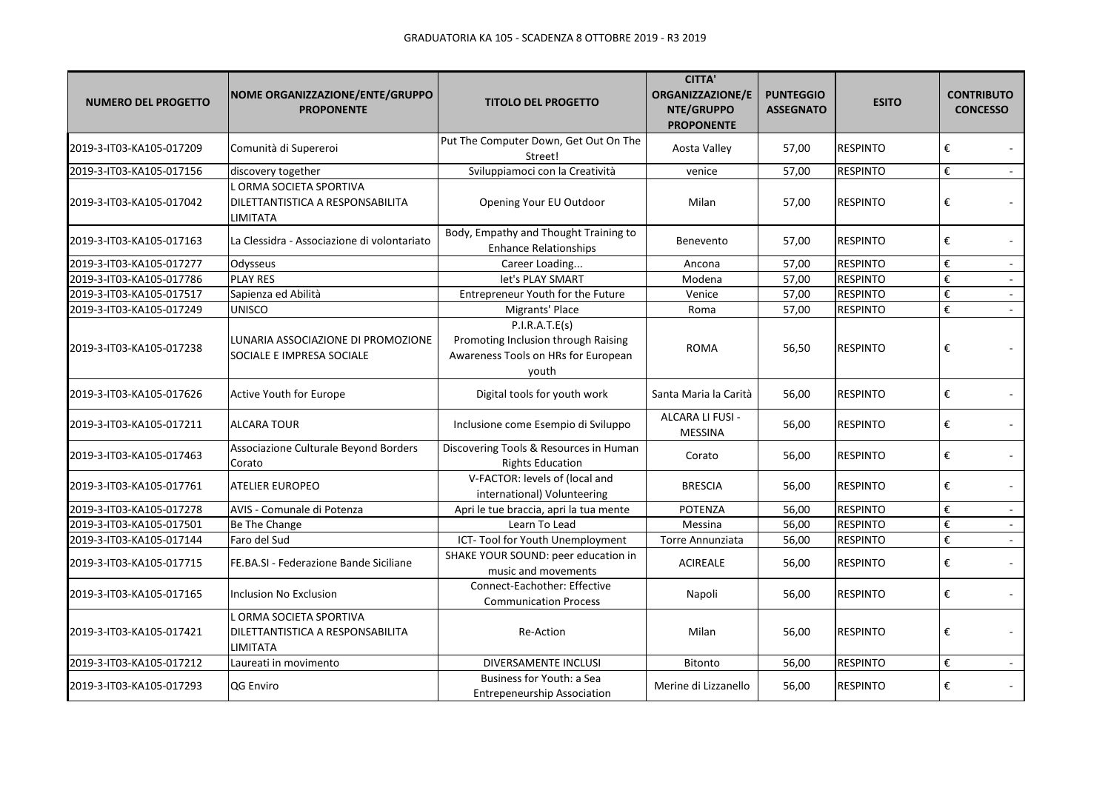| <b>NUMERO DEL PROGETTO</b> | NOME ORGANIZZAZIONE/ENTE/GRUPPO<br><b>PROPONENTE</b>                    | <b>TITOLO DEL PROGETTO</b>                                                                            | <b>CITTA'</b><br>ORGANIZZAZIONE/E<br>NTE/GRUPPO<br><b>PROPONENTE</b> | <b>PUNTEGGIO</b><br><b>ASSEGNATO</b> | <b>ESITO</b>    | <b>CONTRIBUTO</b><br><b>CONCESSO</b> |
|----------------------------|-------------------------------------------------------------------------|-------------------------------------------------------------------------------------------------------|----------------------------------------------------------------------|--------------------------------------|-----------------|--------------------------------------|
| 2019-3-IT03-KA105-017209   | Comunità di Supereroi                                                   | Put The Computer Down, Get Out On The<br>Street!                                                      | Aosta Valley                                                         | 57,00                                | <b>RESPINTO</b> | €                                    |
| 2019-3-IT03-KA105-017156   | discovery together                                                      | Sviluppiamoci con la Creatività                                                                       | venice                                                               | 57,00                                | <b>RESPINTO</b> | €                                    |
| 2019-3-IT03-KA105-017042   | L ORMA SOCIETA SPORTIVA<br>DILETTANTISTICA A RESPONSABILITA<br>LIMITATA | Opening Your EU Outdoor                                                                               | Milan                                                                | 57,00                                | <b>RESPINTO</b> | €                                    |
| 2019-3-IT03-KA105-017163   | La Clessidra - Associazione di volontariato                             | Body, Empathy and Thought Training to<br><b>Enhance Relationships</b>                                 | Benevento                                                            | 57,00                                | <b>RESPINTO</b> | €                                    |
| 2019-3-IT03-KA105-017277   | Odysseus                                                                | Career Loading                                                                                        | Ancona                                                               | 57,00                                | <b>RESPINTO</b> | €<br>$\omega$                        |
| 2019-3-IT03-KA105-017786   | <b>PLAY RES</b>                                                         | let's PLAY SMART                                                                                      | Modena                                                               | 57,00                                | <b>RESPINTO</b> | €                                    |
| 2019-3-IT03-KA105-017517   | Sapienza ed Abilità                                                     | Entrepreneur Youth for the Future                                                                     | Venice                                                               | 57,00                                | <b>RESPINTO</b> | €<br>$\sim$                          |
| 2019-3-IT03-KA105-017249   | <b>UNISCO</b>                                                           | Migrants' Place                                                                                       | Roma                                                                 | 57,00                                | <b>RESPINTO</b> | €                                    |
| 2019-3-IT03-KA105-017238   | LUNARIA ASSOCIAZIONE DI PROMOZIONE<br>SOCIALE E IMPRESA SOCIALE         | P.I.R.A.T.E(s)<br>Promoting Inclusion through Raising<br>Awareness Tools on HRs for European<br>youth | <b>ROMA</b>                                                          | 56,50                                | <b>RESPINTO</b> | €                                    |
| 2019-3-IT03-KA105-017626   | <b>Active Youth for Europe</b>                                          | Digital tools for youth work                                                                          | Santa Maria la Carità                                                | 56,00                                | <b>RESPINTO</b> | €                                    |
| 2019-3-IT03-KA105-017211   | <b>ALCARA TOUR</b>                                                      | Inclusione come Esempio di Sviluppo                                                                   | ALCARA LI FUSI -<br><b>MESSINA</b>                                   | 56,00                                | <b>RESPINTO</b> | €                                    |
| 2019-3-IT03-KA105-017463   | Associazione Culturale Beyond Borders<br>Corato                         | Discovering Tools & Resources in Human<br><b>Rights Education</b>                                     | Corato                                                               | 56,00                                | <b>RESPINTO</b> | €                                    |
| 2019-3-IT03-KA105-017761   | <b>ATELIER EUROPEO</b>                                                  | V-FACTOR: levels of (local and<br>international) Volunteering                                         | <b>BRESCIA</b>                                                       | 56,00                                | <b>RESPINTO</b> | €                                    |
| 2019-3-IT03-KA105-017278   | AVIS - Comunale di Potenza                                              | Apri le tue braccia, apri la tua mente                                                                | <b>POTENZA</b>                                                       | 56,00                                | <b>RESPINTO</b> | €                                    |
| 2019-3-IT03-KA105-017501   | Be The Change                                                           | Learn To Lead                                                                                         | Messina                                                              | 56,00                                | <b>RESPINTO</b> | €                                    |
| 2019-3-IT03-KA105-017144   | Faro del Sud                                                            | ICT-Tool for Youth Unemployment                                                                       | Torre Annunziata                                                     | 56,00                                | <b>RESPINTO</b> | €<br>$\sim$                          |
| 2019-3-IT03-KA105-017715   | FE.BA.SI - Federazione Bande Siciliane                                  | SHAKE YOUR SOUND: peer education in<br>music and movements                                            | <b>ACIREALE</b>                                                      | 56,00                                | <b>RESPINTO</b> | €                                    |
| 2019-3-IT03-KA105-017165   | <b>Inclusion No Exclusion</b>                                           | Connect-Eachother: Effective<br><b>Communication Process</b>                                          | Napoli                                                               | 56,00                                | <b>RESPINTO</b> | €                                    |
| 2019-3-IT03-KA105-017421   | . ORMA SOCIETA SPORTIVA<br>DILETTANTISTICA A RESPONSABILITA<br>LIMITATA | Re-Action                                                                                             | Milan                                                                | 56,00                                | <b>RESPINTO</b> | €                                    |
| 2019-3-IT03-KA105-017212   | Laureati in movimento                                                   | DIVERSAMENTE INCLUSI                                                                                  | Bitonto                                                              | 56,00                                | <b>RESPINTO</b> | €                                    |
| 2019-3-IT03-KA105-017293   | QG Enviro                                                               | Business for Youth: a Sea<br><b>Entrepeneurship Association</b>                                       | Merine di Lizzanello                                                 | 56,00                                | <b>RESPINTO</b> | €                                    |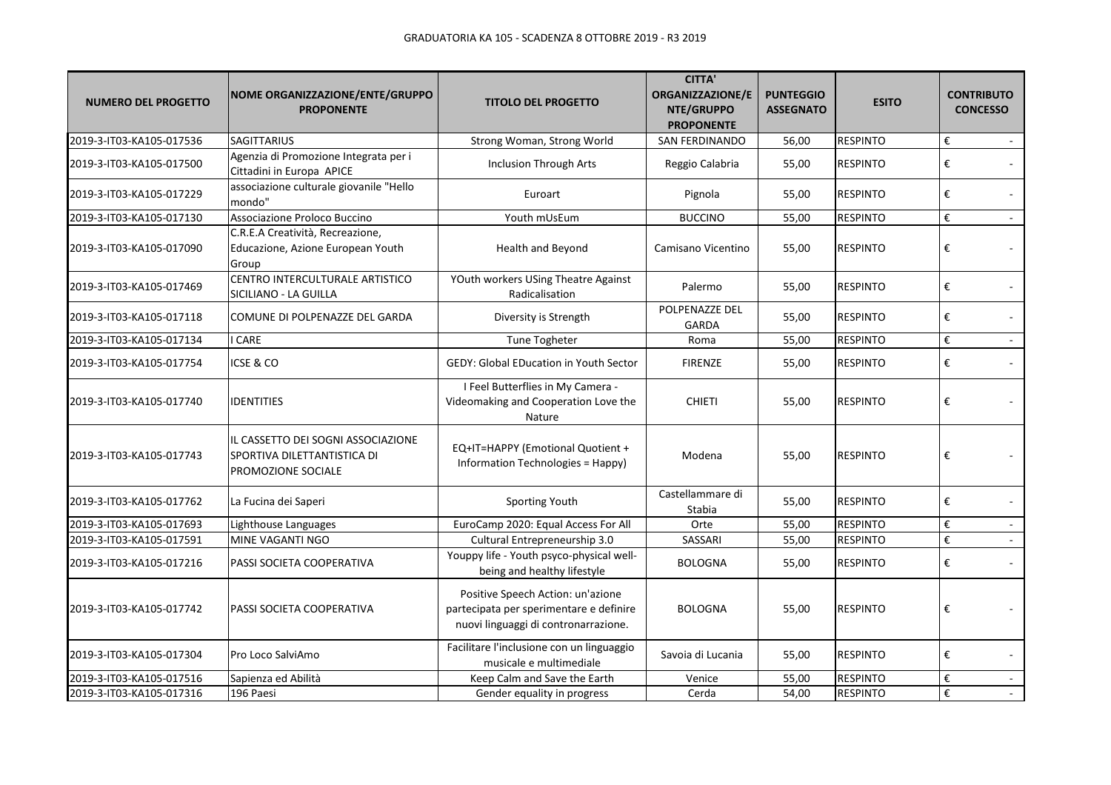| <b>NUMERO DEL PROGETTO</b> | NOME ORGANIZZAZIONE/ENTE/GRUPPO<br><b>PROPONENTE</b>                                    | <b>TITOLO DEL PROGETTO</b>                                                                                           | <b>CITTA'</b><br><b>ORGANIZZAZIONE/E</b><br>NTE/GRUPPO<br><b>PROPONENTE</b> | <b>PUNTEGGIO</b><br><b>ASSEGNATO</b> | <b>ESITO</b>    | <b>CONTRIBUTO</b><br><b>CONCESSO</b> |
|----------------------------|-----------------------------------------------------------------------------------------|----------------------------------------------------------------------------------------------------------------------|-----------------------------------------------------------------------------|--------------------------------------|-----------------|--------------------------------------|
| 2019-3-IT03-KA105-017536   | <b>SAGITTARIUS</b>                                                                      | Strong Woman, Strong World                                                                                           | SAN FERDINANDO                                                              | 56,00                                | <b>RESPINTO</b> | €                                    |
| 2019-3-IT03-KA105-017500   | Agenzia di Promozione Integrata per i<br>Cittadini in Europa APICE                      | <b>Inclusion Through Arts</b>                                                                                        | Reggio Calabria                                                             | 55,00                                | <b>RESPINTO</b> | €                                    |
| 2019-3-IT03-KA105-017229   | associazione culturale giovanile "Hello<br>mondo"                                       | Euroart                                                                                                              | Pignola                                                                     | 55,00                                | <b>RESPINTO</b> | €                                    |
| 2019-3-IT03-KA105-017130   | Associazione Proloco Buccino                                                            | Youth mUsEum                                                                                                         | <b>BUCCINO</b>                                                              | 55,00                                | <b>RESPINTO</b> | €<br>$\sim$                          |
| 2019-3-IT03-KA105-017090   | C.R.E.A Creatività, Recreazione,<br>Educazione, Azione European Youth<br>Group          | Health and Beyond                                                                                                    | Camisano Vicentino                                                          | 55,00                                | <b>RESPINTO</b> | €                                    |
| 2019-3-IT03-KA105-017469   | CENTRO INTERCULTURALE ARTISTICO<br>SICILIANO - LA GUILLA                                | YOuth workers USing Theatre Against<br>Radicalisation                                                                | Palermo                                                                     | 55,00                                | <b>RESPINTO</b> | €                                    |
| 2019-3-IT03-KA105-017118   | COMUNE DI POLPENAZZE DEL GARDA                                                          | Diversity is Strength                                                                                                | POLPENAZZE DEL<br>GARDA                                                     | 55,00                                | <b>RESPINTO</b> | €                                    |
| 2019-3-IT03-KA105-017134   | CARE                                                                                    | Tune Togheter                                                                                                        | Roma                                                                        | 55,00                                | <b>RESPINTO</b> | €                                    |
| 2019-3-IT03-KA105-017754   | ICSE & CO                                                                               | <b>GEDY: Global EDucation in Youth Sector</b>                                                                        | <b>FIRENZE</b>                                                              | 55,00                                | <b>RESPINTO</b> | €                                    |
| 2019-3-IT03-KA105-017740   | IDENTITIES                                                                              | I Feel Butterflies in My Camera -<br>Videomaking and Cooperation Love the<br>Nature                                  | <b>CHIETI</b>                                                               | 55,00                                | <b>RESPINTO</b> | €                                    |
| 2019-3-IT03-KA105-017743   | IL CASSETTO DEI SOGNI ASSOCIAZIONE<br>SPORTIVA DILETTANTISTICA DI<br>PROMOZIONE SOCIALE | EQ+IT=HAPPY (Emotional Quotient +<br>Information Technologies = Happy)                                               | Modena                                                                      | 55,00                                | <b>RESPINTO</b> | €                                    |
| 2019-3-IT03-KA105-017762   | La Fucina dei Saperi                                                                    | Sporting Youth                                                                                                       | Castellammare di<br>Stabia                                                  | 55,00                                | <b>RESPINTO</b> | €                                    |
| 2019-3-IT03-KA105-017693   | Lighthouse Languages                                                                    | EuroCamp 2020: Equal Access For All                                                                                  | Orte                                                                        | 55,00                                | <b>RESPINTO</b> | $\pmb{\epsilon}$                     |
| 2019-3-IT03-KA105-017591   | MINE VAGANTI NGO                                                                        | Cultural Entrepreneurship 3.0                                                                                        | SASSARI                                                                     | 55,00                                | <b>RESPINTO</b> | €<br>$\sim$                          |
| 2019-3-IT03-KA105-017216   | PASSI SOCIETA COOPERATIVA                                                               | Youppy life - Youth psyco-physical well-<br>being and healthy lifestyle                                              | <b>BOLOGNA</b>                                                              | 55,00                                | <b>RESPINTO</b> | $\pmb{\epsilon}$                     |
| 2019-3-IT03-KA105-017742   | PASSI SOCIETA COOPERATIVA                                                               | Positive Speech Action: un'azione<br>partecipata per sperimentare e definire<br>nuovi linguaggi di contronarrazione. | <b>BOLOGNA</b>                                                              | 55,00                                | <b>RESPINTO</b> | €                                    |
| 2019-3-IT03-KA105-017304   | Pro Loco SalviAmo                                                                       | Facilitare l'inclusione con un linguaggio<br>musicale e multimediale                                                 | Savoia di Lucania                                                           | 55,00                                | <b>RESPINTO</b> | €                                    |
| 2019-3-IT03-KA105-017516   | Sapienza ed Abilità                                                                     | Keep Calm and Save the Earth                                                                                         | Venice                                                                      | 55,00                                | <b>RESPINTO</b> | $\boldsymbol{\epsilon}$              |
| 2019-3-IT03-KA105-017316   | 196 Paesi                                                                               | Gender equality in progress                                                                                          | Cerda                                                                       | 54,00                                | <b>RESPINTO</b> | €<br>$\sim$                          |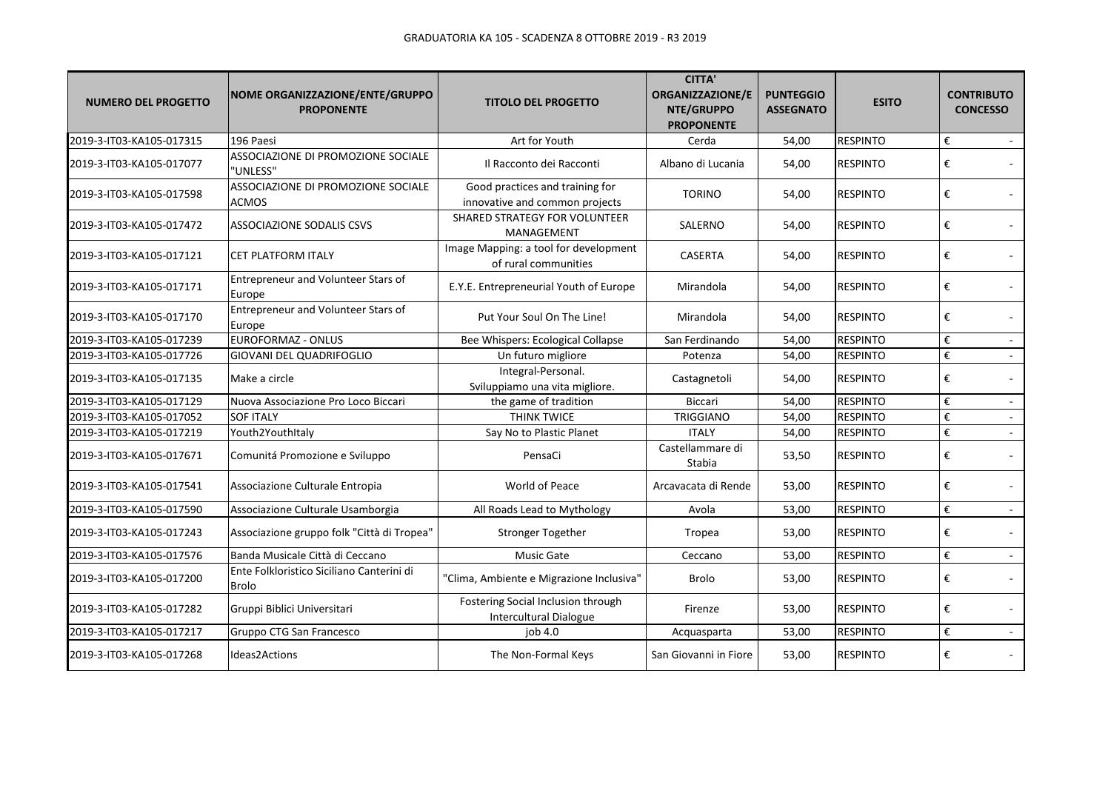| <b>NUMERO DEL PROGETTO</b> | NOME ORGANIZZAZIONE/ENTE/GRUPPO<br><b>PROPONENTE</b>      | <b>TITOLO DEL PROGETTO</b>                                        | <b>CITTA'</b><br>ORGANIZZAZIONE/E<br>NTE/GRUPPO<br><b>PROPONENTE</b> | <b>PUNTEGGIO</b><br><b>ASSEGNATO</b> | <b>ESITO</b>    | <b>CONTRIBUTO</b><br><b>CONCESSO</b> |
|----------------------------|-----------------------------------------------------------|-------------------------------------------------------------------|----------------------------------------------------------------------|--------------------------------------|-----------------|--------------------------------------|
| 2019-3-IT03-KA105-017315   | 196 Paesi                                                 | Art for Youth                                                     | Cerda                                                                | 54,00                                | <b>RESPINTO</b> | €                                    |
| 2019-3-IT03-KA105-017077   | ASSOCIAZIONE DI PROMOZIONE SOCIALE<br>"UNLESS"            | Il Racconto dei Racconti                                          | Albano di Lucania                                                    | 54,00                                | <b>RESPINTO</b> | €                                    |
| 2019-3-IT03-KA105-017598   | ASSOCIAZIONE DI PROMOZIONE SOCIALE<br><b>ACMOS</b>        | Good practices and training for<br>innovative and common projects | <b>TORINO</b>                                                        | 54,00                                | <b>RESPINTO</b> | €                                    |
| 2019-3-IT03-KA105-017472   | <b>ASSOCIAZIONE SODALIS CSVS</b>                          | <b>SHARED STRATEGY FOR VOLUNTEER</b><br>MANAGEMENT                | SALERNO                                                              | 54,00                                | <b>RESPINTO</b> | €                                    |
| 2019-3-IT03-KA105-017121   | <b>CET PLATFORM ITALY</b>                                 | Image Mapping: a tool for development<br>of rural communities     | <b>CASERTA</b>                                                       | 54,00                                | <b>RESPINTO</b> | €                                    |
| 2019-3-IT03-KA105-017171   | Entrepreneur and Volunteer Stars of<br>Europe             | E.Y.E. Entrepreneurial Youth of Europe                            | Mirandola                                                            | 54,00                                | <b>RESPINTO</b> | €                                    |
| 2019-3-IT03-KA105-017170   | Entrepreneur and Volunteer Stars of<br>Europe             | Put Your Soul On The Line!                                        | Mirandola                                                            | 54,00                                | <b>RESPINTO</b> | €                                    |
| 2019-3-IT03-KA105-017239   | EUROFORMAZ - ONLUS                                        | Bee Whispers: Ecological Collapse                                 | San Ferdinando                                                       | 54,00                                | <b>RESPINTO</b> | €<br>$\sim$                          |
| 2019-3-IT03-KA105-017726   | <b>GIOVANI DEL QUADRIFOGLIO</b>                           | Un futuro migliore                                                | Potenza                                                              | 54,00                                | <b>RESPINTO</b> | €<br>$\sim$                          |
| 2019-3-IT03-KA105-017135   | Make a circle                                             | Integral-Personal.<br>Sviluppiamo una vita migliore.              | Castagnetoli                                                         | 54,00                                | <b>RESPINTO</b> | €<br>$\sim$                          |
| 2019-3-IT03-KA105-017129   | Nuova Associazione Pro Loco Biccari                       | the game of tradition                                             | <b>Biccari</b>                                                       | 54,00                                | <b>RESPINTO</b> | €<br>$\sim$                          |
| 2019-3-IT03-KA105-017052   | <b>SOF ITALY</b>                                          | <b>THINK TWICE</b>                                                | TRIGGIANO                                                            | 54,00                                | <b>RESPINTO</b> | €                                    |
| 2019-3-IT03-KA105-017219   | Youth2YouthItaly                                          | Say No to Plastic Planet                                          | <b>ITALY</b>                                                         | 54,00                                | <b>RESPINTO</b> | €                                    |
| 2019-3-IT03-KA105-017671   | Comunitá Promozione e Sviluppo                            | PensaCi                                                           | Castellammare di<br>Stabia                                           | 53,50                                | <b>RESPINTO</b> | €                                    |
| 2019-3-IT03-KA105-017541   | Associazione Culturale Entropia                           | World of Peace                                                    | Arcavacata di Rende                                                  | 53,00                                | <b>RESPINTO</b> | €                                    |
| 2019-3-IT03-KA105-017590   | Associazione Culturale Usamborgia                         | All Roads Lead to Mythology                                       | Avola                                                                | 53,00                                | <b>RESPINTO</b> | €<br>$\sim$                          |
| 2019-3-IT03-KA105-017243   | Associazione gruppo folk "Città di Tropea"                | <b>Stronger Together</b>                                          | Tropea                                                               | 53,00                                | <b>RESPINTO</b> | €                                    |
| 2019-3-IT03-KA105-017576   | Banda Musicale Città di Ceccano                           | Music Gate                                                        | Ceccano                                                              | 53,00                                | <b>RESPINTO</b> | €                                    |
| 2019-3-IT03-KA105-017200   | Ente Folkloristico Siciliano Canterini di<br><b>Brolo</b> | "Clima, Ambiente e Migrazione Inclusiva"                          | <b>Brolo</b>                                                         | 53,00                                | <b>RESPINTO</b> | €                                    |
| 2019-3-IT03-KA105-017282   | Gruppi Biblici Universitari                               | Fostering Social Inclusion through<br>Intercultural Dialogue      | Firenze                                                              | 53,00                                | <b>RESPINTO</b> | €                                    |
| 2019-3-IT03-KA105-017217   | Gruppo CTG San Francesco                                  | job 4.0                                                           | Acquasparta                                                          | 53,00                                | <b>RESPINTO</b> | €                                    |
| 2019-3-IT03-KA105-017268   | Ideas2Actions                                             | The Non-Formal Keys                                               | San Giovanni in Fiore                                                | 53,00                                | <b>RESPINTO</b> | €                                    |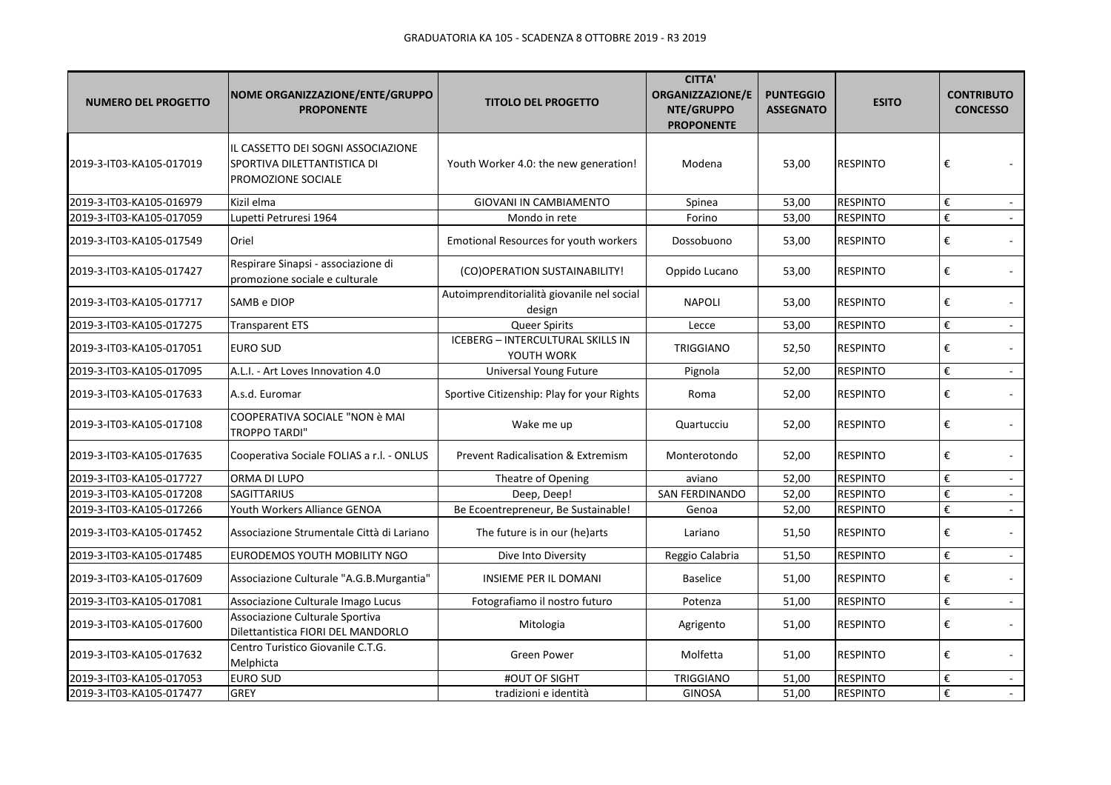| <b>NUMERO DEL PROGETTO</b> | NOME ORGANIZZAZIONE/ENTE/GRUPPO<br><b>PROPONENTE</b>                                    | <b>TITOLO DEL PROGETTO</b>                             | <b>CITTA'</b><br><b>ORGANIZZAZIONE/E</b><br>NTE/GRUPPO<br><b>PROPONENTE</b> | <b>PUNTEGGIO</b><br><b>ASSEGNATO</b> | <b>ESITO</b>    | <b>CONTRIBUTO</b><br><b>CONCESSO</b> |
|----------------------------|-----------------------------------------------------------------------------------------|--------------------------------------------------------|-----------------------------------------------------------------------------|--------------------------------------|-----------------|--------------------------------------|
| 2019-3-IT03-KA105-017019   | IL CASSETTO DEI SOGNI ASSOCIAZIONE<br>SPORTIVA DILETTANTISTICA DI<br>PROMOZIONE SOCIALE | Youth Worker 4.0: the new generation!                  | Modena                                                                      | 53,00                                | <b>RESPINTO</b> | €                                    |
| 2019-3-IT03-KA105-016979   | Kizil elma                                                                              | GIOVANI IN CAMBIAMENTO                                 | Spinea                                                                      | 53,00                                | <b>RESPINTO</b> | €<br>$\sim$                          |
| 2019-3-IT03-KA105-017059   | Lupetti Petruresi 1964                                                                  | Mondo in rete                                          | Forino                                                                      | 53,00                                | <b>RESPINTO</b> | €<br>$\sim$                          |
| 2019-3-IT03-KA105-017549   | Oriel                                                                                   | Emotional Resources for youth workers                  | Dossobuono                                                                  | 53,00                                | <b>RESPINTO</b> | €                                    |
| 2019-3-IT03-KA105-017427   | Respirare Sinapsi - associazione di<br>promozione sociale e culturale                   | (CO)OPERATION SUSTAINABILITY!                          | Oppido Lucano                                                               | 53,00                                | <b>RESPINTO</b> | €<br>$\mathcal{L}_{\mathcal{A}}$     |
| 2019-3-IT03-KA105-017717   | SAMB e DIOP                                                                             | Autoimprenditorialità giovanile nel social<br>design   | <b>NAPOLI</b>                                                               | 53,00                                | <b>RESPINTO</b> | €<br>$\sim$                          |
| 2019-3-IT03-KA105-017275   | <b>Transparent ETS</b>                                                                  | <b>Queer Spirits</b>                                   | Lecce                                                                       | 53,00                                | <b>RESPINTO</b> | €<br>$\sim$                          |
| 2019-3-IT03-KA105-017051   | <b>EURO SUD</b>                                                                         | <b>ICEBERG - INTERCULTURAL SKILLS IN</b><br>YOUTH WORK | <b>TRIGGIANO</b>                                                            | 52,50                                | <b>RESPINTO</b> | €<br>$\sim$                          |
| 2019-3-IT03-KA105-017095   | A.L.I. - Art Loves Innovation 4.0                                                       | <b>Universal Young Future</b>                          | Pignola                                                                     | 52,00                                | <b>RESPINTO</b> | €<br>$\mathcal{L}$                   |
| 2019-3-IT03-KA105-017633   | A.s.d. Euromar                                                                          | Sportive Citizenship: Play for your Rights             | Roma                                                                        | 52,00                                | <b>RESPINTO</b> | €<br>$\sim$                          |
| 2019-3-IT03-KA105-017108   | COOPERATIVA SOCIALE "NON è MAI<br><b>TROPPO TARDI"</b>                                  | Wake me up                                             | Quartucciu                                                                  | 52,00                                | <b>RESPINTO</b> | €<br>$\sim$                          |
| 2019-3-IT03-KA105-017635   | Cooperativa Sociale FOLIAS a r.l. - ONLUS                                               | <b>Prevent Radicalisation &amp; Extremism</b>          | Monterotondo                                                                | 52,00                                | <b>RESPINTO</b> | €                                    |
| 2019-3-IT03-KA105-017727   | ORMA DI LUPO                                                                            | Theatre of Opening                                     | aviano                                                                      | 52,00                                | <b>RESPINTO</b> | €<br>$\blacksquare$                  |
| 2019-3-IT03-KA105-017208   | <b>SAGITTARIUS</b>                                                                      | Deep, Deep!                                            | SAN FERDINANDO                                                              | 52,00                                | <b>RESPINTO</b> | €                                    |
| 2019-3-IT03-KA105-017266   | Youth Workers Alliance GENOA                                                            | Be Ecoentrepreneur, Be Sustainable!                    | Genoa                                                                       | 52,00                                | <b>RESPINTO</b> | €<br>$\mathcal{L}_{\mathcal{A}}$     |
| 2019-3-IT03-KA105-017452   | Associazione Strumentale Città di Lariano                                               | The future is in our (he)arts                          | Lariano                                                                     | 51,50                                | <b>RESPINTO</b> | €<br>÷.                              |
| 2019-3-IT03-KA105-017485   | EURODEMOS YOUTH MOBILITY NGO                                                            | Dive Into Diversity                                    | Reggio Calabria                                                             | 51,50                                | <b>RESPINTO</b> | €<br>$\sim$                          |
| 2019-3-IT03-KA105-017609   | Associazione Culturale "A.G.B.Murgantia"                                                | <b>INSIEME PER IL DOMANI</b>                           | <b>Baselice</b>                                                             | 51,00                                | <b>RESPINTO</b> | €<br>$\sim$                          |
| 2019-3-IT03-KA105-017081   | Associazione Culturale Imago Lucus                                                      | Fotografiamo il nostro futuro                          | Potenza                                                                     | 51,00                                | <b>RESPINTO</b> | €<br>$\sim$                          |
| 2019-3-IT03-KA105-017600   | Associazione Culturale Sportiva<br>Dilettantistica FIORI DEL MANDORLO                   | Mitologia                                              | Agrigento                                                                   | 51,00                                | <b>RESPINTO</b> | €<br>$\sim$                          |
| 2019-3-IT03-KA105-017632   | Centro Turistico Giovanile C.T.G.<br>Melphicta                                          | Green Power                                            | Molfetta                                                                    | 51,00                                | <b>RESPINTO</b> | €                                    |
| 2019-3-IT03-KA105-017053   | <b>EURO SUD</b>                                                                         | #OUT OF SIGHT                                          | <b>TRIGGIANO</b>                                                            | 51,00                                | <b>RESPINTO</b> | €<br>$\blacksquare$                  |
| 2019-3-IT03-KA105-017477   | <b>GREY</b>                                                                             | tradizioni e identità                                  | <b>GINOSA</b>                                                               | 51,00                                | <b>RESPINTO</b> | €                                    |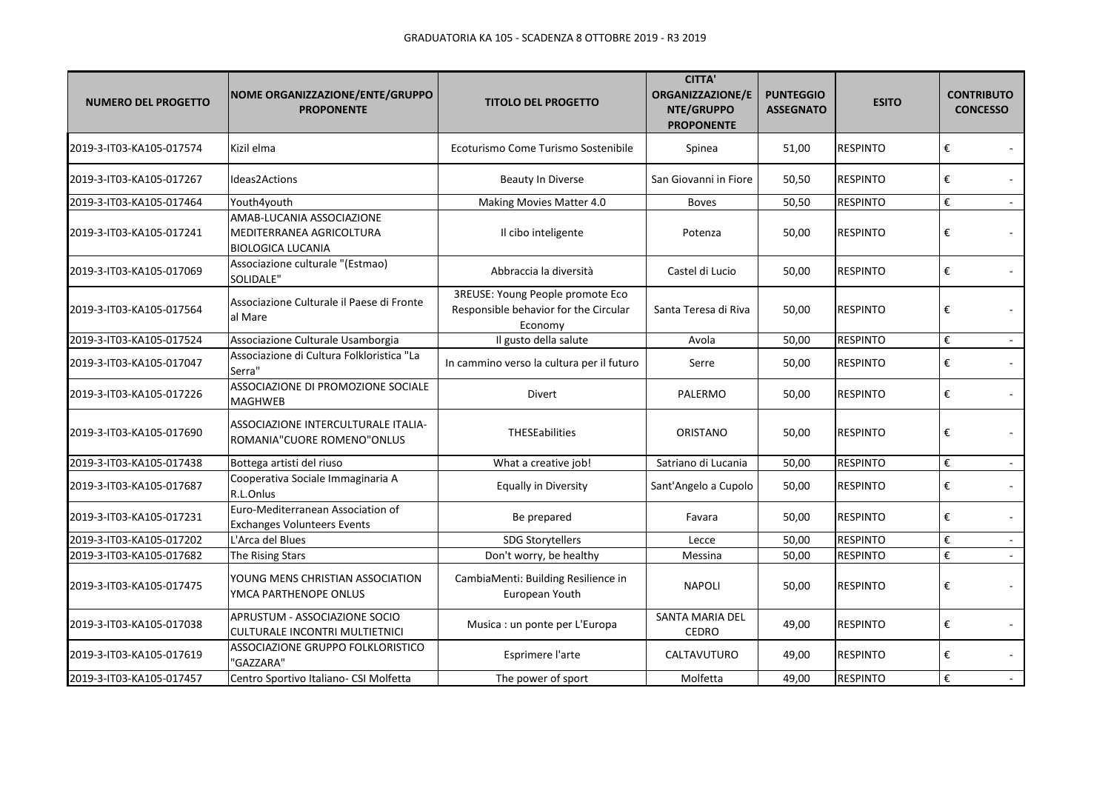| <b>NUMERO DEL PROGETTO</b> | NOME ORGANIZZAZIONE/ENTE/GRUPPO<br><b>PROPONENTE</b>                              | <b>TITOLO DEL PROGETTO</b>                                                           | <b>CITTA'</b><br>ORGANIZZAZIONE/E<br>NTE/GRUPPO<br><b>PROPONENTE</b> | <b>PUNTEGGIO</b><br><b>ASSEGNATO</b> | <b>ESITO</b>    | <b>CONTRIBUTO</b><br><b>CONCESSO</b> |               |
|----------------------------|-----------------------------------------------------------------------------------|--------------------------------------------------------------------------------------|----------------------------------------------------------------------|--------------------------------------|-----------------|--------------------------------------|---------------|
| 2019-3-IT03-KA105-017574   | Kizil elma                                                                        | Ecoturismo Come Turismo Sostenibile                                                  | Spinea                                                               | 51,00                                | <b>RESPINTO</b> | €                                    |               |
| 2019-3-IT03-KA105-017267   | Ideas2Actions                                                                     | <b>Beauty In Diverse</b>                                                             | San Giovanni in Fiore                                                | 50,50                                | <b>RESPINTO</b> | €                                    |               |
| 2019-3-IT03-KA105-017464   | Youth4youth                                                                       | Making Movies Matter 4.0                                                             | <b>Boves</b>                                                         | 50,50                                | <b>RESPINTO</b> | €                                    |               |
| 2019-3-IT03-KA105-017241   | AMAB-LUCANIA ASSOCIAZIONE<br>MEDITERRANEA AGRICOLTURA<br><b>BIOLOGICA LUCANIA</b> | Il cibo inteligente                                                                  | Potenza                                                              | 50,00                                | <b>RESPINTO</b> | €                                    |               |
| 2019-3-IT03-KA105-017069   | Associazione culturale "(Estmao)<br>SOLIDALE"                                     | Abbraccia la diversità                                                               | Castel di Lucio                                                      | 50,00                                | <b>RESPINTO</b> | €                                    |               |
| 2019-3-IT03-KA105-017564   | Associazione Culturale il Paese di Fronte<br>al Mare                              | 3REUSE: Young People promote Eco<br>Responsible behavior for the Circular<br>Economy | Santa Teresa di Riva                                                 | 50,00                                | <b>RESPINTO</b> | €                                    |               |
| 2019-3-IT03-KA105-017524   | Associazione Culturale Usamborgia                                                 | Il gusto della salute                                                                | Avola                                                                | 50,00                                | <b>RESPINTO</b> | €                                    | $\sim$        |
| 2019-3-IT03-KA105-017047   | Associazione di Cultura Folkloristica "La<br>Serra"                               | In cammino verso la cultura per il futuro                                            | Serre                                                                | 50,00                                | <b>RESPINTO</b> | €                                    |               |
| 2019-3-IT03-KA105-017226   | ASSOCIAZIONE DI PROMOZIONE SOCIALE<br>MAGHWEB                                     | <b>Divert</b>                                                                        | PALERMO                                                              | 50,00                                | <b>RESPINTO</b> | €                                    |               |
| 2019-3-IT03-KA105-017690   | ASSOCIAZIONE INTERCULTURALE ITALIA-<br>ROMANIA"CUORE ROMENO"ONLUS                 | <b>THESEabilities</b>                                                                | ORISTANO                                                             | 50,00                                | <b>RESPINTO</b> | €                                    | $\sim$        |
| 2019-3-IT03-KA105-017438   | Bottega artisti del riuso                                                         | What a creative job!                                                                 | Satriano di Lucania                                                  | 50,00                                | <b>RESPINTO</b> | $\boldsymbol{\epsilon}$              | $\sim$        |
| 2019-3-IT03-KA105-017687   | Cooperativa Sociale Immaginaria A<br>R.L.Onlus                                    | Equally in Diversity                                                                 | Sant'Angelo a Cupolo                                                 | 50,00                                | <b>RESPINTO</b> | €                                    |               |
| 2019-3-IT03-KA105-017231   | Euro-Mediterranean Association of<br><b>Exchanges Volunteers Events</b>           | Be prepared                                                                          | Favara                                                               | 50,00                                | <b>RESPINTO</b> | €                                    |               |
| 2019-3-IT03-KA105-017202   | L'Arca del Blues                                                                  | <b>SDG Storytellers</b>                                                              | Lecce                                                                | 50,00                                | <b>RESPINTO</b> | €                                    | $\mathcal{L}$ |
| 2019-3-IT03-KA105-017682   | The Rising Stars                                                                  | Don't worry, be healthy                                                              | Messina                                                              | 50,00                                | <b>RESPINTO</b> | €                                    |               |
| 2019-3-IT03-KA105-017475   | YOUNG MENS CHRISTIAN ASSOCIATION<br>YMCA PARTHENOPE ONLUS                         | CambiaMenti: Building Resilience in<br>European Youth                                | <b>NAPOLI</b>                                                        | 50,00                                | <b>RESPINTO</b> | €                                    |               |
| 2019-3-IT03-KA105-017038   | APRUSTUM - ASSOCIAZIONE SOCIO<br>CULTURALE INCONTRI MULTIETNICI                   | Musica : un ponte per L'Europa                                                       | SANTA MARIA DEL<br><b>CEDRO</b>                                      | 49,00                                | <b>RESPINTO</b> | €                                    | $\sim$        |
| 2019-3-IT03-KA105-017619   | ASSOCIAZIONE GRUPPO FOLKLORISTICO<br>'GAZZARA"                                    | Esprimere l'arte                                                                     | CALTAVUTURO                                                          | 49,00                                | <b>RESPINTO</b> | €                                    | $\sim$        |
| 2019-3-IT03-KA105-017457   | Centro Sportivo Italiano- CSI Molfetta                                            | The power of sport                                                                   | Molfetta                                                             | 49,00                                | <b>RESPINTO</b> | €                                    | $\sim$        |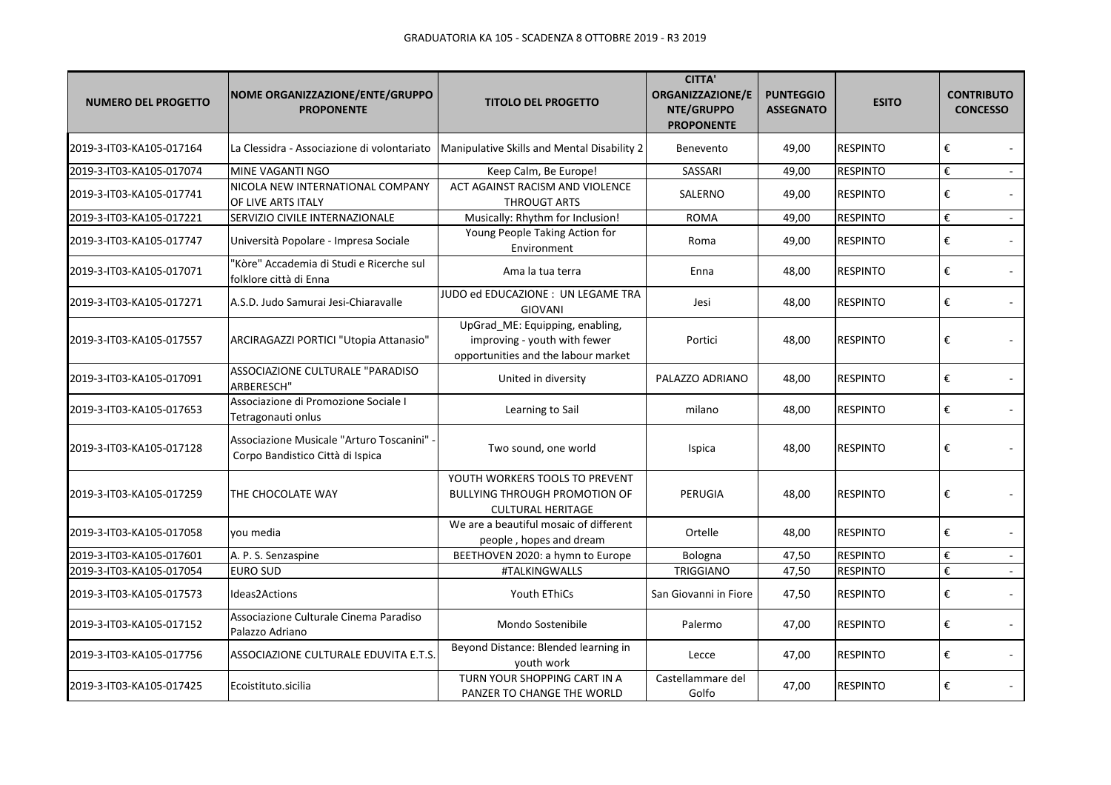| <b>NUMERO DEL PROGETTO</b> | NOME ORGANIZZAZIONE/ENTE/GRUPPO<br><b>PROPONENTE</b>                           | <b>TITOLO DEL PROGETTO</b>                                                                             | <b>CITTA'</b><br>ORGANIZZAZIONE/E<br>NTE/GRUPPO<br><b>PROPONENTE</b> | <b>PUNTEGGIO</b><br><b>ASSEGNATO</b> | <b>ESITO</b>    | <b>CONTRIBUTO</b><br><b>CONCESSO</b> |
|----------------------------|--------------------------------------------------------------------------------|--------------------------------------------------------------------------------------------------------|----------------------------------------------------------------------|--------------------------------------|-----------------|--------------------------------------|
| 2019-3-IT03-KA105-017164   | La Clessidra - Associazione di volontariato                                    | Manipulative Skills and Mental Disability 2                                                            | Benevento                                                            | 49,00                                | <b>RESPINTO</b> | €                                    |
| 2019-3-IT03-KA105-017074   | MINE VAGANTI NGO                                                               | Keep Calm, Be Europe!                                                                                  | SASSARI                                                              | 49,00                                | <b>RESPINTO</b> | €                                    |
| 2019-3-IT03-KA105-017741   | NICOLA NEW INTERNATIONAL COMPANY<br>OF LIVE ARTS ITALY                         | ACT AGAINST RACISM AND VIOLENCE<br><b>THROUGT ARTS</b>                                                 | SALERNO                                                              | 49,00                                | <b>RESPINTO</b> | €                                    |
| 2019-3-IT03-KA105-017221   | SERVIZIO CIVILE INTERNAZIONALE                                                 | Musically: Rhythm for Inclusion!                                                                       | <b>ROMA</b>                                                          | 49,00                                | <b>RESPINTO</b> | €<br>$\sim$                          |
| 2019-3-IT03-KA105-017747   | Università Popolare - Impresa Sociale                                          | Young People Taking Action for<br>Environment                                                          | Roma                                                                 | 49,00                                | <b>RESPINTO</b> | €                                    |
| 2019-3-IT03-KA105-017071   | "Kòre" Accademia di Studi e Ricerche sul<br>folklore città di Enna             | Ama la tua terra                                                                                       | Enna                                                                 | 48,00                                | <b>RESPINTO</b> | €                                    |
| 2019-3-IT03-KA105-017271   | A.S.D. Judo Samurai Jesi-Chiaravalle                                           | JUDO ed EDUCAZIONE : UN LEGAME TRA<br><b>GIOVANI</b>                                                   | Jesi                                                                 | 48,00                                | <b>RESPINTO</b> | €                                    |
| 2019-3-IT03-KA105-017557   | ARCIRAGAZZI PORTICI "Utopia Attanasio"                                         | UpGrad_ME: Equipping, enabling,<br>improving - youth with fewer<br>opportunities and the labour market | Portici                                                              | 48,00                                | <b>RESPINTO</b> | €                                    |
| 2019-3-IT03-KA105-017091   | ASSOCIAZIONE CULTURALE "PARADISO<br>ARBERESCH"                                 | United in diversity                                                                                    | PALAZZO ADRIANO                                                      | 48,00                                | <b>RESPINTO</b> | €                                    |
| 2019-3-IT03-KA105-017653   | Associazione di Promozione Sociale I<br>Tetragonauti onlus                     | Learning to Sail                                                                                       | milano                                                               | 48,00                                | <b>RESPINTO</b> | €                                    |
| 2019-3-IT03-KA105-017128   | Associazione Musicale "Arturo Toscanini" -<br>Corpo Bandistico Città di Ispica | Two sound, one world                                                                                   | Ispica                                                               | 48,00                                | <b>RESPINTO</b> | €                                    |
| 2019-3-IT03-KA105-017259   | THE CHOCOLATE WAY                                                              | YOUTH WORKERS TOOLS TO PREVENT<br><b>BULLYING THROUGH PROMOTION OF</b><br><b>CULTURAL HERITAGE</b>     | PERUGIA                                                              | 48,00                                | <b>RESPINTO</b> | €                                    |
| 2019-3-IT03-KA105-017058   | vou media                                                                      | We are a beautiful mosaic of different<br>people, hopes and dream                                      | Ortelle                                                              | 48,00                                | <b>RESPINTO</b> | €                                    |
| 2019-3-IT03-KA105-017601   | A. P. S. Senzaspine                                                            | BEETHOVEN 2020: a hymn to Europe                                                                       | Bologna                                                              | 47,50                                | <b>RESPINTO</b> | €<br>$\sim$                          |
| 2019-3-IT03-KA105-017054   | <b>EURO SUD</b>                                                                | #TALKINGWALLS                                                                                          | TRIGGIANO                                                            | 47,50                                | <b>RESPINTO</b> | €<br>$\sim$                          |
| 2019-3-IT03-KA105-017573   | Ideas2Actions                                                                  | Youth EThiCs                                                                                           | San Giovanni in Fiore                                                | 47,50                                | <b>RESPINTO</b> | €                                    |
| 2019-3-IT03-KA105-017152   | Associazione Culturale Cinema Paradiso<br>Palazzo Adriano                      | Mondo Sostenibile                                                                                      | Palermo                                                              | 47,00                                | <b>RESPINTO</b> | €                                    |
| 2019-3-IT03-KA105-017756   | ASSOCIAZIONE CULTURALE EDUVITA E.T.S.                                          | Beyond Distance: Blended learning in<br>youth work                                                     | Lecce                                                                | 47,00                                | <b>RESPINTO</b> | €                                    |
| 2019-3-IT03-KA105-017425   | Ecoistituto.sicilia                                                            | TURN YOUR SHOPPING CART IN A<br>PANZER TO CHANGE THE WORLD                                             | Castellammare del<br>Golfo                                           | 47,00                                | <b>RESPINTO</b> | €                                    |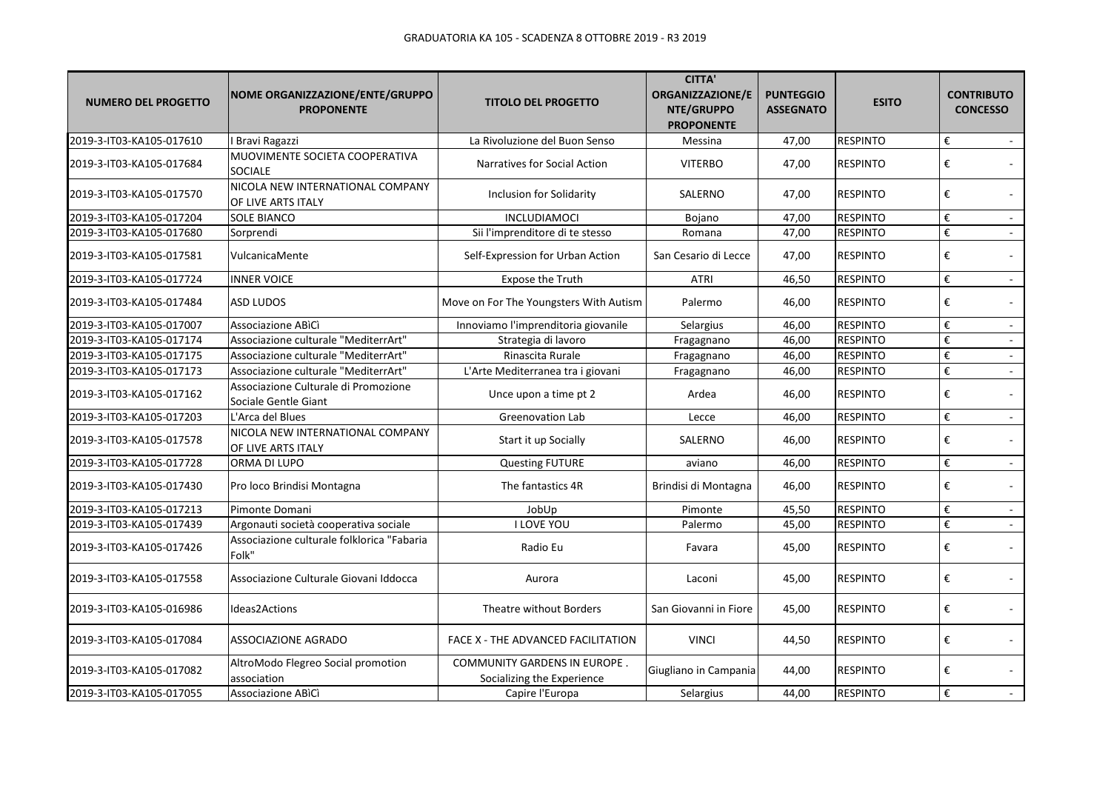| <b>NUMERO DEL PROGETTO</b> | NOME ORGANIZZAZIONE/ENTE/GRUPPO<br><b>PROPONENTE</b>         | <b>TITOLO DEL PROGETTO</b>                                        | <b>CITTA'</b><br>ORGANIZZAZIONE/E<br>NTE/GRUPPO<br><b>PROPONENTE</b> | <b>PUNTEGGIO</b><br><b>ASSEGNATO</b> | <b>ESITO</b>    | <b>CONTRIBUTO</b><br><b>CONCESSO</b>     |
|----------------------------|--------------------------------------------------------------|-------------------------------------------------------------------|----------------------------------------------------------------------|--------------------------------------|-----------------|------------------------------------------|
| 2019-3-IT03-KA105-017610   | I Bravi Ragazzi                                              | La Rivoluzione del Buon Senso                                     | Messina                                                              | 47,00                                | <b>RESPINTO</b> | €<br>$\sim$                              |
| 2019-3-IT03-KA105-017684   | MUOVIMENTE SOCIETA COOPERATIVA<br><b>SOCIALE</b>             | Narratives for Social Action                                      | <b>VITERBO</b>                                                       | 47,00                                | <b>RESPINTO</b> | €                                        |
| 2019-3-IT03-KA105-017570   | NICOLA NEW INTERNATIONAL COMPANY<br>OF LIVE ARTS ITALY       | <b>Inclusion for Solidarity</b>                                   | SALERNO                                                              | 47,00                                | <b>RESPINTO</b> | €                                        |
| 2019-3-IT03-KA105-017204   | <b>SOLE BIANCO</b>                                           | INCLUDIAMOCI                                                      | Bojano                                                               | 47,00                                | <b>RESPINTO</b> | €<br>$\sim$                              |
| 2019-3-IT03-KA105-017680   | Sorprendi                                                    | Sii l'imprenditore di te stesso                                   | Romana                                                               | 47,00                                | <b>RESPINTO</b> | $\boldsymbol{\epsilon}$                  |
| 2019-3-IT03-KA105-017581   | VulcanicaMente                                               | Self-Expression for Urban Action                                  | San Cesario di Lecce                                                 | 47,00                                | <b>RESPINTO</b> | €                                        |
| 2019-3-IT03-KA105-017724   | <b>INNER VOICE</b>                                           | Expose the Truth                                                  | <b>ATRI</b>                                                          | 46,50                                | <b>RESPINTO</b> | €                                        |
| 2019-3-IT03-KA105-017484   | <b>ASD LUDOS</b>                                             | Move on For The Youngsters With Autism                            | Palermo                                                              | 46,00                                | <b>RESPINTO</b> | €                                        |
| 2019-3-IT03-KA105-017007   | Associazione ABICI                                           | Innoviamo l'imprenditoria giovanile                               | Selargius                                                            | 46,00                                | <b>RESPINTO</b> | €<br>$\sim$                              |
| 2019-3-IT03-KA105-017174   | Associazione culturale "MediterrArt"                         | Strategia di lavoro                                               | Fragagnano                                                           | 46,00                                | <b>RESPINTO</b> | $\boldsymbol{\epsilon}$                  |
| 2019-3-IT03-KA105-017175   | Associazione culturale "MediterrArt"                         | Rinascita Rurale                                                  | Fragagnano                                                           | 46,00                                | <b>RESPINTO</b> | $\boldsymbol{\epsilon}$                  |
| 2019-3-IT03-KA105-017173   | Associazione culturale "MediterrArt"                         | L'Arte Mediterranea tra i giovani                                 | Fragagnano                                                           | 46,00                                | <b>RESPINTO</b> | $\boldsymbol{\epsilon}$<br>$\sim$        |
| 2019-3-IT03-KA105-017162   | Associazione Culturale di Promozione<br>Sociale Gentle Giant | Unce upon a time pt 2                                             | Ardea                                                                | 46,00                                | <b>RESPINTO</b> | €                                        |
| 2019-3-IT03-KA105-017203   | L'Arca del Blues                                             | <b>Greenovation Lab</b>                                           | Lecce                                                                | 46,00                                | <b>RESPINTO</b> | $\boldsymbol{\epsilon}$<br>$\mathcal{L}$ |
| 2019-3-IT03-KA105-017578   | NICOLA NEW INTERNATIONAL COMPANY<br>OF LIVE ARTS ITALY       | Start it up Socially                                              | SALERNO                                                              | 46,00                                | <b>RESPINTO</b> | $\boldsymbol{\epsilon}$                  |
| 2019-3-IT03-KA105-017728   | ORMA DI LUPO                                                 | <b>Questing FUTURE</b>                                            | aviano                                                               | 46,00                                | <b>RESPINTO</b> | $\boldsymbol{\epsilon}$<br>$\sim$        |
| 2019-3-IT03-KA105-017430   | Pro loco Brindisi Montagna                                   | The fantastics 4R                                                 | Brindisi di Montagna                                                 | 46,00                                | <b>RESPINTO</b> | €                                        |
| 2019-3-IT03-KA105-017213   | Pimonte Domani                                               | JobUp                                                             | Pimonte                                                              | 45,50                                | <b>RESPINTO</b> | $\boldsymbol{\epsilon}$                  |
| 2019-3-IT03-KA105-017439   | Argonauti società cooperativa sociale                        | <b>I LOVE YOU</b>                                                 | Palermo                                                              | 45,00                                | <b>RESPINTO</b> | $\boldsymbol{\epsilon}$                  |
| 2019-3-IT03-KA105-017426   | Associazione culturale folklorica "Fabaria<br>Folk"          | Radio Eu                                                          | Favara                                                               | 45,00                                | <b>RESPINTO</b> | €                                        |
| 2019-3-IT03-KA105-017558   | Associazione Culturale Giovani Iddocca                       | Aurora                                                            | Laconi                                                               | 45,00                                | <b>RESPINTO</b> | €                                        |
| 2019-3-IT03-KA105-016986   | Ideas2Actions                                                | Theatre without Borders                                           | San Giovanni in Fiore                                                | 45,00                                | <b>RESPINTO</b> | €                                        |
| 2019-3-IT03-KA105-017084   | <b>ASSOCIAZIONE AGRADO</b>                                   | FACE X - THE ADVANCED FACILITATION                                | <b>VINCI</b>                                                         | 44,50                                | <b>RESPINTO</b> | €                                        |
| 2019-3-IT03-KA105-017082   | AltroModo Flegreo Social promotion<br>association            | <b>COMMUNITY GARDENS IN EUROPE.</b><br>Socializing the Experience | Giugliano in Campania                                                | 44,00                                | <b>RESPINTO</b> | €                                        |
| 2019-3-IT03-KA105-017055   | Associazione ABICI                                           | Capire l'Europa                                                   | Selargius                                                            | 44,00                                | <b>RESPINTO</b> | $\boldsymbol{\epsilon}$                  |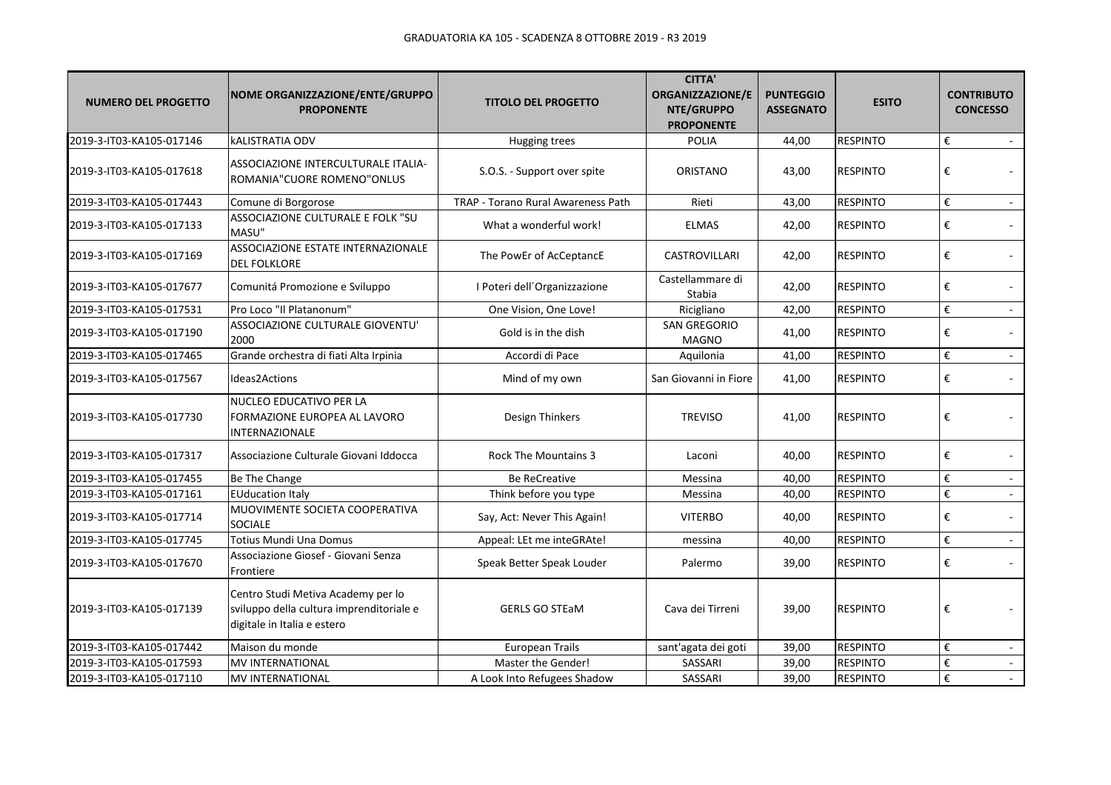| <b>NUMERO DEL PROGETTO</b> | NOME ORGANIZZAZIONE/ENTE/GRUPPO<br><b>PROPONENTE</b>                                                          | <b>TITOLO DEL PROGETTO</b>         | <b>CITTA'</b><br><b>ORGANIZZAZIONE/E</b><br>NTE/GRUPPO<br><b>PROPONENTE</b> | <b>PUNTEGGIO</b><br><b>ASSEGNATO</b> | <b>ESITO</b>    | <b>CONTRIBUTO</b><br><b>CONCESSO</b> |
|----------------------------|---------------------------------------------------------------------------------------------------------------|------------------------------------|-----------------------------------------------------------------------------|--------------------------------------|-----------------|--------------------------------------|
| 2019-3-IT03-KA105-017146   | <b>kALISTRATIA ODV</b>                                                                                        | Hugging trees                      | <b>POLIA</b>                                                                | 44,00                                | <b>RESPINTO</b> | €<br>$\sim$                          |
| 2019-3-IT03-KA105-017618   | ASSOCIAZIONE INTERCULTURALE ITALIA-<br>ROMANIA"CUORE ROMENO"ONLUS                                             | S.O.S. - Support over spite        | ORISTANO                                                                    | 43,00                                | <b>RESPINTO</b> | €                                    |
| 2019-3-IT03-KA105-017443   | Comune di Borgorose                                                                                           | TRAP - Torano Rural Awareness Path | Rieti                                                                       | 43,00                                | <b>RESPINTO</b> | €                                    |
| 2019-3-IT03-KA105-017133   | ASSOCIAZIONE CULTURALE E FOLK "SU<br>MASU"                                                                    | What a wonderful work!             | <b>ELMAS</b>                                                                | 42,00                                | <b>RESPINTO</b> | €                                    |
| 2019-3-IT03-KA105-017169   | ASSOCIAZIONE ESTATE INTERNAZIONALE<br><b>DEL FOLKLORE</b>                                                     | The PowEr of AcCeptancE            | <b>CASTROVILLARI</b>                                                        | 42,00                                | <b>RESPINTO</b> | €                                    |
| 2019-3-IT03-KA105-017677   | Comunitá Promozione e Sviluppo                                                                                | I Poteri dell'Organizzazione       | Castellammare di<br>Stabia                                                  | 42,00                                | <b>RESPINTO</b> | €                                    |
| 2019-3-IT03-KA105-017531   | Pro Loco "Il Platanonum"                                                                                      | One Vision, One Love!              | Ricigliano                                                                  | 42,00                                | <b>RESPINTO</b> | €                                    |
| 2019-3-IT03-KA105-017190   | ASSOCIAZIONE CULTURALE GIOVENTU'<br>2000                                                                      | Gold is in the dish                | <b>SAN GREGORIO</b><br><b>MAGNO</b>                                         | 41,00                                | <b>RESPINTO</b> | €                                    |
| 2019-3-IT03-KA105-017465   | Grande orchestra di fiati Alta Irpinia                                                                        | Accordi di Pace                    | Aquilonia                                                                   | 41,00                                | <b>RESPINTO</b> | €<br>$\sim$                          |
| 2019-3-IT03-KA105-017567   | Ideas2Actions                                                                                                 | Mind of my own                     | San Giovanni in Fiore                                                       | 41,00                                | <b>RESPINTO</b> | €                                    |
| 2019-3-IT03-KA105-017730   | NUCLEO EDUCATIVO PER LA<br>FORMAZIONE EUROPEA AL LAVORO<br>INTERNAZIONALE                                     | Design Thinkers                    | <b>TREVISO</b>                                                              | 41,00                                | <b>RESPINTO</b> | €                                    |
| 2019-3-IT03-KA105-017317   | Associazione Culturale Giovani Iddocca                                                                        | Rock The Mountains 3               | Laconi                                                                      | 40,00                                | <b>RESPINTO</b> | €                                    |
| 2019-3-IT03-KA105-017455   | Be The Change                                                                                                 | <b>Be ReCreative</b>               | Messina                                                                     | 40,00                                | <b>RESPINTO</b> | €<br>$\sim$                          |
| 2019-3-IT03-KA105-017161   | <b>EUducation Italy</b>                                                                                       | Think before you type              | Messina                                                                     | 40,00                                | <b>RESPINTO</b> | €                                    |
| 2019-3-IT03-KA105-017714   | MUOVIMENTE SOCIETA COOPERATIVA<br><b>SOCIALE</b>                                                              | Say, Act: Never This Again!        | <b>VITERBO</b>                                                              | 40,00                                | <b>RESPINTO</b> | €                                    |
| 2019-3-IT03-KA105-017745   | Totius Mundi Una Domus                                                                                        | Appeal: LEt me inteGRAte!          | messina                                                                     | 40,00                                | <b>RESPINTO</b> | €                                    |
| 2019-3-IT03-KA105-017670   | Associazione Giosef - Giovani Senza<br>Frontiere                                                              | Speak Better Speak Louder          | Palermo                                                                     | 39,00                                | <b>RESPINTO</b> | €                                    |
| 2019-3-IT03-KA105-017139   | Centro Studi Metiva Academy per lo<br>sviluppo della cultura imprenditoriale e<br>digitale in Italia e estero | <b>GERLS GO STEaM</b>              | Cava dei Tirreni                                                            | 39,00                                | <b>RESPINTO</b> | €                                    |
| 2019-3-IT03-KA105-017442   | Maison du monde                                                                                               | <b>European Trails</b>             | sant'agata dei goti                                                         | 39,00                                | <b>RESPINTO</b> | €                                    |
| 2019-3-IT03-KA105-017593   | MV INTERNATIONAL                                                                                              | Master the Gender!                 | SASSARI                                                                     | 39,00                                | <b>RESPINTO</b> | €                                    |
| 2019-3-IT03-KA105-017110   | <b>MV INTERNATIONAL</b>                                                                                       | A Look Into Refugees Shadow        | SASSARI                                                                     | 39,00                                | <b>RESPINTO</b> | $\boldsymbol{\epsilon}$              |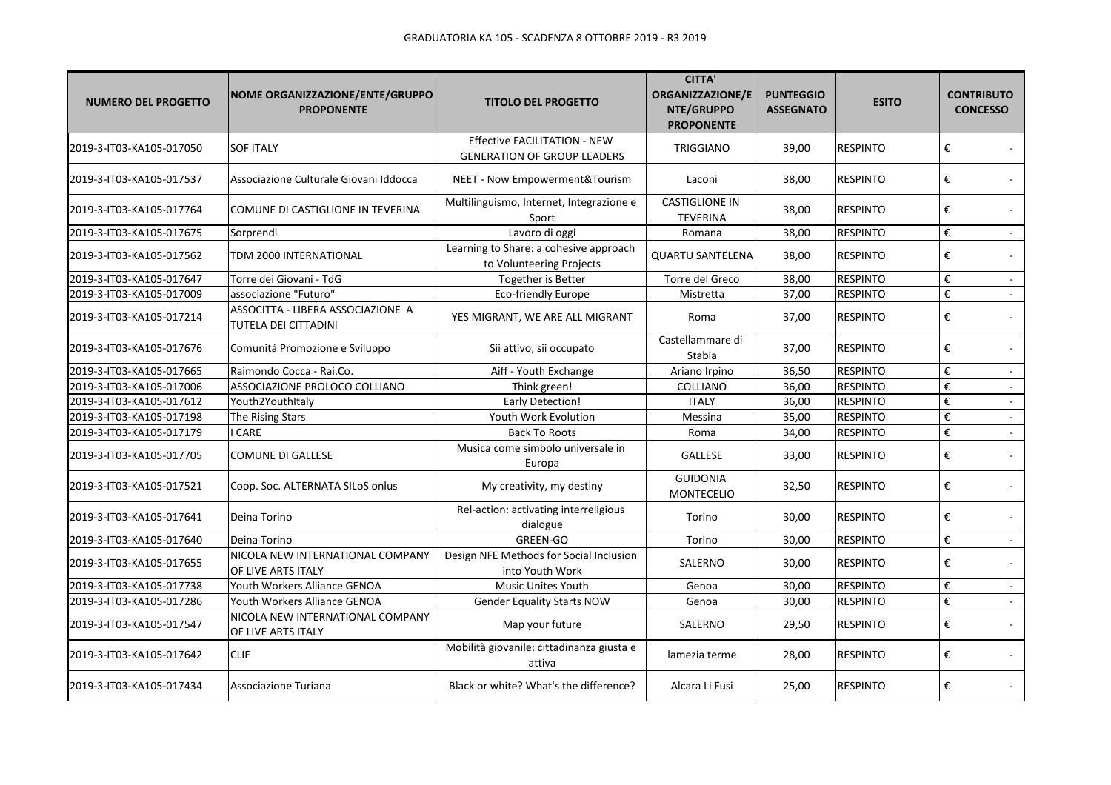| <b>NUMERO DEL PROGETTO</b> | <b>NOME ORGANIZZAZIONE/ENTE/GRUPPO</b><br><b>PROPONENTE</b> | <b>TITOLO DEL PROGETTO</b>                                                | <b>CITTA'</b><br><b>ORGANIZZAZIONE/E</b><br>NTE/GRUPPO<br><b>PROPONENTE</b> | <b>PUNTEGGIO</b><br><b>ASSEGNATO</b> | <b>ESITO</b>    | <b>CONTRIBUTO</b><br><b>CONCESSO</b>                   |
|----------------------------|-------------------------------------------------------------|---------------------------------------------------------------------------|-----------------------------------------------------------------------------|--------------------------------------|-----------------|--------------------------------------------------------|
| 2019-3-IT03-KA105-017050   | <b>SOF ITALY</b>                                            | <b>Effective FACILITATION - NEW</b><br><b>GENERATION OF GROUP LEADERS</b> | <b>TRIGGIANO</b>                                                            | 39,00                                | <b>RESPINTO</b> | €                                                      |
| 2019-3-IT03-KA105-017537   | Associazione Culturale Giovani Iddocca                      | NEET - Now Empowerment&Tourism                                            | Laconi                                                                      | 38,00                                | <b>RESPINTO</b> | €                                                      |
| 2019-3-IT03-KA105-017764   | COMUNE DI CASTIGLIONE IN TEVERINA                           | Multilinguismo, Internet, Integrazione e<br>Sport                         | <b>CASTIGLIONE IN</b><br><b>TEVERINA</b>                                    | 38,00                                | <b>RESPINTO</b> | €                                                      |
| 2019-3-IT03-KA105-017675   | Sorprendi                                                   | Lavoro di oggi                                                            | Romana                                                                      | 38,00                                | <b>RESPINTO</b> | €<br>$\sim$                                            |
| 2019-3-IT03-KA105-017562   | TDM 2000 INTERNATIONAL                                      | Learning to Share: a cohesive approach<br>to Volunteering Projects        | <b>QUARTU SANTELENA</b>                                                     | 38,00                                | <b>RESPINTO</b> | €                                                      |
| 2019-3-IT03-KA105-017647   | Torre dei Giovani - TdG                                     | Together is Better                                                        | Torre del Greco                                                             | 38,00                                | <b>RESPINTO</b> | $\boldsymbol{\epsilon}$                                |
| 2019-3-IT03-KA105-017009   | associazione "Futuro"                                       | <b>Eco-friendly Europe</b>                                                | Mistretta                                                                   | 37,00                                | <b>RESPINTO</b> | €<br>$\mathcal{L}$                                     |
| 2019-3-IT03-KA105-017214   | ASSOCITTA - LIBERA ASSOCIAZIONE A<br>TUTELA DEI CITTADINI   | YES MIGRANT, WE ARE ALL MIGRANT                                           | Roma                                                                        | 37,00                                | <b>RESPINTO</b> | €                                                      |
| 2019-3-IT03-KA105-017676   | Comunitá Promozione e Sviluppo                              | Sii attivo, sii occupato                                                  | Castellammare di<br>Stabia                                                  | 37,00                                | <b>RESPINTO</b> | €                                                      |
| 2019-3-IT03-KA105-017665   | Raimondo Cocca - Rai.Co.                                    | Aiff - Youth Exchange                                                     | Ariano Irpino                                                               | 36,50                                | <b>RESPINTO</b> | €                                                      |
| 2019-3-IT03-KA105-017006   | ASSOCIAZIONE PROLOCO COLLIANO                               | Think green!                                                              | COLLIANO                                                                    | 36,00                                | <b>RESPINTO</b> | $\boldsymbol{\epsilon}$<br>$\mathcal{L}_{\mathcal{A}}$ |
| 2019-3-IT03-KA105-017612   | Youth2YouthItaly                                            | <b>Early Detection!</b>                                                   | <b>ITALY</b>                                                                | 36,00                                | <b>RESPINTO</b> | €<br>$\blacksquare$                                    |
| 2019-3-IT03-KA105-017198   | The Rising Stars                                            | Youth Work Evolution                                                      | Messina                                                                     | 35,00                                | <b>RESPINTO</b> | €<br>$\mathcal{L}_{\mathcal{A}}$                       |
| 2019-3-IT03-KA105-017179   | CARE                                                        | <b>Back To Roots</b>                                                      | Roma                                                                        | 34,00                                | <b>RESPINTO</b> | €                                                      |
| 2019-3-IT03-KA105-017705   | <b>COMUNE DI GALLESE</b>                                    | Musica come simbolo universale in<br>Europa                               | <b>GALLESE</b>                                                              | 33,00                                | <b>RESPINTO</b> | €                                                      |
| 2019-3-IT03-KA105-017521   | Coop. Soc. ALTERNATA SILoS onlus                            | My creativity, my destiny                                                 | <b>GUIDONIA</b><br><b>MONTECELIO</b>                                        | 32,50                                | <b>RESPINTO</b> | €                                                      |
| 2019-3-IT03-KA105-017641   | Deina Torino                                                | Rel-action: activating interreligious<br>dialogue                         | Torino                                                                      | 30,00                                | <b>RESPINTO</b> | €                                                      |
| 2019-3-IT03-KA105-017640   | Deina Torino                                                | <b>GREEN-GO</b>                                                           | Torino                                                                      | 30.00                                | <b>RESPINTO</b> | $\boldsymbol{\epsilon}$                                |
| 2019-3-IT03-KA105-017655   | NICOLA NEW INTERNATIONAL COMPANY<br>OF LIVE ARTS ITALY      | Design NFE Methods for Social Inclusion<br>into Youth Work                | SALERNO                                                                     | 30,00                                | <b>RESPINTO</b> | €                                                      |
| 2019-3-IT03-KA105-017738   | Youth Workers Alliance GENOA                                | <b>Music Unites Youth</b>                                                 | Genoa                                                                       | 30,00                                | <b>RESPINTO</b> | $\boldsymbol{\epsilon}$<br>$\blacksquare$              |
| 2019-3-IT03-KA105-017286   | Youth Workers Alliance GENOA                                | <b>Gender Equality Starts NOW</b>                                         | Genoa                                                                       | 30,00                                | <b>RESPINTO</b> | $\boldsymbol{\epsilon}$                                |
| 2019-3-IT03-KA105-017547   | NICOLA NEW INTERNATIONAL COMPANY<br>OF LIVE ARTS ITALY      | Map your future                                                           | SALERNO                                                                     | 29,50                                | <b>RESPINTO</b> | €                                                      |
| 2019-3-IT03-KA105-017642   | <b>CLIF</b>                                                 | Mobilità giovanile: cittadinanza giusta e<br>attiva                       | lamezia terme                                                               | 28,00                                | <b>RESPINTO</b> | €                                                      |
| 2019-3-IT03-KA105-017434   | Associazione Turiana                                        | Black or white? What's the difference?                                    | Alcara Li Fusi                                                              | 25,00                                | <b>RESPINTO</b> | €                                                      |